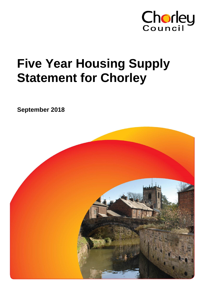

# **Five Year Housing Supply Statement for Chorley**

**September 2018**

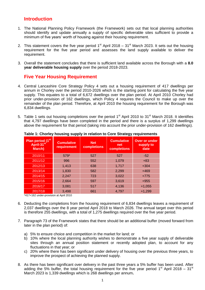# **Introduction**

- 1. The National Planning Policy Framework (the Framework) sets out that local planning authorities should identify and update annually a supply of specific deliverable sites sufficient to provide a minimum of five years' worth of housing against their housing requirement.
- 2. This statement covers the five year period  $1<sup>st</sup>$  April 2018 31<sup>st</sup> March 2023. It sets out the housing requirement for the five year period and assesses the land supply available to deliver the requirement.
- 3. Overall the statement concludes that there is sufficient land available across the Borough with a **8.0 year deliverable housing supply** over the period 2018-2023.

# **Five Year Housing Requirement**

- 4. Central Lancashire Core Strategy Policy 4 sets out a housing requirement of 417 dwellings per annum in Chorley over the period 2010-2026 which is the starting point for calculating the five year supply. This equates to a total of 6,672 dwellings over the plan period. At April 2010 Chorley had prior under-provision of 162 dwellings, which Policy 4 requires the Council to make up over the remainder of the plan period. Therefore, at April 2010 the housing requirement for the Borough was 6,834 dwellings.
- 5. Table 1 sets out housing completions over the period 1<sup>st</sup> April 2010 to 31<sup>st</sup> March 2018. It identifies that 4,797 dwellings have been completed in the period and there is a surplus of 1,299 dwellings above the requirement for that period (taking into account the prior under-provision of 162 dwellings).

| Plan period (1 <sup>st)</sup><br>April-31 <sup>st</sup><br>March) | <b>Cumulative</b><br>requirement | <b>Net</b><br>completions | <b>Cumulative</b><br>net<br>completions | <b>Over or under</b><br>supply to<br>date |
|-------------------------------------------------------------------|----------------------------------|---------------------------|-----------------------------------------|-------------------------------------------|
| 2010/11                                                           | 579*                             | 527                       | 527                                     | $-52$                                     |
| 2011/12                                                           | 996                              | 552                       | 1,079                                   | $+83$                                     |
| 2012/13                                                           | 1,413                            | 638                       | 1,717                                   | $+304$                                    |
| 2013/14                                                           | 1,830                            | 582                       | 2,299                                   | $+469$                                    |
| 2014/15                                                           | 2,247                            | 723                       | 3,022                                   | $+775$                                    |
| 2015/16                                                           | 2,664                            | 597                       | 3,619                                   | $+955$                                    |
| 2016/17                                                           | 3,081                            | 517                       | 4,136                                   | $+1,055$                                  |
| 2017/18                                                           | 3,498                            | 661                       | 4,797                                   | $+1,299$                                  |

#### **Table 1: Chorley housing supply in relation to Core Strategy requirements**

\*417+162 under-provision at April 2010

- 6. Deducting the completions from the housing requirement of 6,834 dwellings leaves a requirement of 2,037 dwellings over the 8 year period April 2018 to March 2026. The annual target over this period is therefore 255 dwellings, with a total of 1,275 dwellings required over the five year period.
- 7. Paragraph 73 of the Framework states that there should be an additional buffer (moved forward from later in the plan period) of:
	- a) 5% to ensure choice and competition in the market for land; or
	- b) 10% where the local planning authority wishes to demonstrate a five year supply of deliverable sites through an annual position statement or recently adopted plan, to account for any fluctuations in that year; or
	- c) 20% where there has been significant under delivery of housing over the previous three years, to improve the prospect of achieving the planned supply.
- 8. As there has been significant over delivery in the past three years a 5% buffer has been used. After adding the 5% buffer, the total housing requirement for the five year period 1<sup>st</sup> April 2018 – 31<sup>st</sup> March 2023 is 1,339 dwellings which is 268 dwellings per annum**.**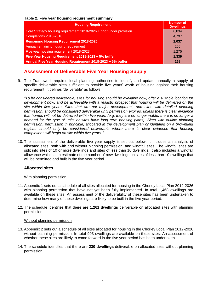**Table 2: Five year housing requirement summary**

| <b>Housing Requirement</b>                                          | <b>Number of</b><br><b>Dwellings</b> |
|---------------------------------------------------------------------|--------------------------------------|
| Core Strategy housing requirement 2010-2026 + prior under provision | 6,834                                |
| Completions 2010-2018                                               | 4,797                                |
| <b>Remaining Housing Requirement 2018-2026</b>                      | 2,037                                |
| Annual remaining housing requirement                                | 255                                  |
| Five year housing requirement 2018-2023                             | 1,275                                |
| Five Year Housing Requirement 2018-2023 + 5% buffer                 | 1,339                                |
| Annual Five Year Housing Requirement 2018-2023 + 5% buffer          | 268                                  |

# **Assessment of Deliverable Five Year Housing Supply**

9. The Framework requires local planning authorities to identify and update annually a supply of specific deliverable sites sufficient to provide five years' worth of housing against their housing requirement. It defines 'deliverable' as follows:

*"To be considered deliverable, sites for housing should be available now, offer a suitable location for*  development now, and be achievable with a realistic prospect that housing will be delivered on the *site within five years. Sites that are not major development, and sites with detailed planning permission, should be considered deliverable until permission expires, unless there is clear evidence that homes will not be delivered within five years (e.g. they are no longer viable, there is no longer a demand for the type of units or sites have long term phasing plans). Sites with outline planning permission, permission in principle, allocated in the development plan or identified on a brownfield*  register should only be considered deliverable where there is clear evidence that housing *completions will begin on site within five years."*

10. The assessment of the deliverable five year supply is set out below. It includes an analysis of allocated sites, both with and without planning permission, and windfall sites. The windfall sites are split into sites of 10 or more dwellings and sites of less than 10 dwellings. It also includes a windfall allowance which is an estimate of the number of new dwellings on sites of less than 10 dwellings that will be permitted and built in the five year period.

### **Allocated sites**

#### With planning permission

- 11. Appendix 1 sets out a schedule of all sites allocated for housing in the Chorley Local Plan 2012-2026 with planning permission that have not yet been fully implemented. In total 1,468 dwellings are available on these sites. An assessment of the deliverability of these sites has been undertaken to determine how many of these dwellings are likely to be built in the five year period.
- 12. The schedule identifies that there are **1,261 dwellings** deliverable on allocated sites with planning permission.

#### Without planning permission

- 13. Appendix 2 sets out a schedule of all sites allocated for housing in the Chorley Local Plan 2012-2026 without planning permission. In total 993 dwellings are available on these sites. An assessment of whether these sites are likely to come forward in the five year period has been undertaken.
- 14. The schedule identifies that there are **230 dwellings** deliverable on allocated sites without planning permission.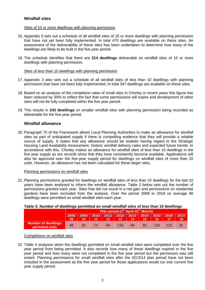## **Windfall sites**

#### Sites of 10 or more dwellings with planning permission

- 15. Appendix 3 sets out a schedule of all windfall sites of 10 or more dwellings with planning permission that have not yet been fully implemented. In total 470 dwellings are available on these sites. An assessment of the deliverability of these sites has been undertaken to determine how many of the dwellings are likely to be built in the five year period.
- 16. The schedule identifies that there are **214 dwellings** deliverable on windfall sites of 10 or more dwellings with planning permission.

#### Sites of less than 10 dwellings with planning permission

- 17. Appendix 3 also sets out a schedule of all windfall sites of less than 10 dwellings with planning permission that have not been fully implemented. In total 347 dwellings are available on these sites.
- 18. Based on an analysis of the completion rates of small sites in Chorley in recent years this figure has been reduced by 30% to reflect the fact that some permissions will expire and development of other sites will not be fully completed within the five year period.
- 19. This results in **243 dwellings** on smaller windfall sites with planning permission being recorded as deliverable for the five year period.

#### **Windfall allowance**

20. Paragraph 70 of the Framework allows Local Planning Authorities to make an allowance for windfall sites as part of anticipated supply if there is compelling evidence that they will provide a reliable source of supply. It states that any allowance should be realistic having regard to the Strategic Housing Land Availability Assessment, historic windfall delivery rates and expected future trends. In accordance with this, Chorley makes an allowance for windfall sites of less than 10 dwellings in the five year supply as our records show that they have consistently become available. Applications will also be approved over the five-year supply period for dwellings on windfall sites of more than 10 units. However, an allowance has not been calculated for these larger sites.

#### Planning permissions on windfall sites

21. Planning permissions granted for dwellings on windfall sites of less than 10 dwellings for the last 10 years have been analysed to inform the windfall allowance. Table 3 below sets out the number of permissions granted each year. Sites that did not result in a net gain and permissions on residential gardens have been excluded from the analysis. Over the period 2008 to 2018 on average 86 dwellings were permitted on small windfall sites each year.

#### **Table 3: Number of dwellings permitted on small windfall sites of less than 10 dwellings**

|                                               |             |       |       | Plan period (1 <sup>st</sup> April-31 <sup>st</sup> March) |                                |    |     |     |       |             |
|-----------------------------------------------|-------------|-------|-------|------------------------------------------------------------|--------------------------------|----|-----|-----|-------|-------------|
|                                               | 2008/<br>09 | 2009/ | 2010/ |                                                            | 2012/ 2013/ 2014/ 2015/ <br>13 | 14 | 15. |     | 2016/ | 2017/<br>18 |
| <b>Number of dwellings</b><br>permitted (net) | 68          | 35    |       | 60                                                         | 116                            | 96 | 91  | 116 |       | -81         |

#### Completions on windfall sites

22. Table 4 analyses when the dwellings permitted on small windfall sites were completed over the five year period from being permitted. It also records how many of these dwellings expired in the five year period and how many were not completed in the five year period but the permission was still extant. Planning permissions for small windfall sites after the 2013/14 plan period have not been included in the assessment as the five year period for those applications would run into current five year supply period.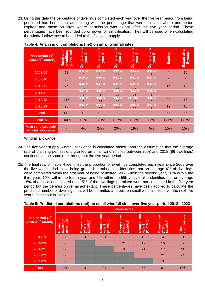23. Using this data the percentage of dwellings completed each year over the five year period from being permitted has been calculated along with the percentage that were on sites where permission expired and those on sites where permission was extant after the five year period. These percentages have been rounded up or down for simplification. They will be used when calculating the windfall allowance to be added to the five year supply.

| Plan period (1 <sup>st)</sup><br>April-31 <sup>st</sup> March) | ৹<br>dwellings<br>permitted<br>Number | Completions<br>year <sub>1</sub> | Completions<br>$\mathbf{\Omega}$<br>year | Completions<br>S<br>year | Completions<br>4<br>year | Completions<br>5<br>year | Expired | after<br>years<br>Extant<br><b>in</b> |
|----------------------------------------------------------------|---------------------------------------|----------------------------------|------------------------------------------|--------------------------|--------------------------|--------------------------|---------|---------------------------------------|
| 2008/09                                                        | 68                                    | 2008/09<br>-1                    | 2009/10<br>18                            | 2010/11<br>11            | 2011/12<br>16            | 2012/13<br>4             | 4       | 16                                    |
| 2009/10                                                        | 35                                    | 2009/10<br>6                     | 2010/11<br>12                            | 2011/12<br>5             | 2012/13<br>4             | 2013/14<br>$\Omega$      | 4       | 4                                     |
| 2010/11                                                        | 74                                    | 2010/11<br>$-1$                  | 2011/12<br>4                             | 2012/13<br>21            | 2013/14<br>19            | 2014/15<br>4             | 14      | 13                                    |
| 2011/12                                                        | 60                                    | 2011/12<br>$\overline{2}$        | 2012/13<br>8                             | 2013/14<br>19            | 2014/15<br>12            | 2015/16<br>5             | 8       | 6                                     |
| 2012/13                                                        | 116                                   | 2012/13<br>8                     | 2013/14<br>34                            | 2014/15<br>15            | 2015/16<br>19            | 2016/17<br>$\mathbf{0}$  | 23      | 17                                    |
| 2013/14                                                        | 96                                    | 2013/14<br>5                     | 2014/15<br>32                            | 2015/16<br>17            | 2016/17<br>13            | 2017/18                  | 12      | 10                                    |
| <b>Total</b>                                                   | 449                                   | 19                               | 108                                      | 88                       | 83                       | 20                       | 65      | 66                                    |
| Total %                                                        | 100%                                  | 4.2%                             | 24.1%                                    | 19.6%                    | 18.5%                    | 4.5%                     | 14.5%   | 14.7%                                 |
| % used to calculate<br>windfall allowance                      |                                       | 4%                               | 24%                                      | <b>20%</b>               | 19%                      | 5%                       | 15%     | 15%                                   |

**Table 4: Analysis of completions (net) on small windfall sites**

#### Windfall allowance

- 24. The five year supply windfall allowance is calculated based upon the assumption that the average rate of planning permissions granted on small windfall sites between 2008 and 2018 (86 dwellings) continues at the same rate throughout the five year period.
- 25. The final row of Table 4 identifies the proportion of dwellings completed each year since 2008 over the five year period since being granted permission. It identifies that on average 4% of dwellings were completed within the first year of being permitted, 24% within the second year, 20% within the third year, 19% within the fourth year and 5% within the fifth year. It also identifies that on average 15% of applications expired and 15% of the dwellings permitted were not completed in the five year period but the permission remained extant. These percentages have been applied to calculate the predicted number of dwellings that will be permitted and built on small windfall sites over the next five years, as set out in Table 5.

|                                                               |                                       |                                    |                                    | <b>Predictions</b>                             |                                           |                                    |                             |
|---------------------------------------------------------------|---------------------------------------|------------------------------------|------------------------------------|------------------------------------------------|-------------------------------------------|------------------------------------|-----------------------------|
| Plan period (1 <sup>st</sup><br>April-31 <sup>st</sup> March) | ৳<br>dwellings<br>permitted<br>Number | Completions<br>year 1<br>(2018/19) | Completions<br>year 2<br>(2019/20) | Completions<br>year 3<br>(2020/21)<br>$\infty$ | <b>Completions</b><br>year 4<br>(2021/22) | Completions<br>year 5<br>(2022/23) | completions<br><b>Total</b> |
| 2018/19                                                       | 86                                    | 3                                  | 21                                 | 17                                             | 16                                        | 4                                  | 61                          |
| 2019/20                                                       | 86                                    |                                    | 3                                  | 21                                             | 17                                        | 16                                 | 57                          |
| 2020/21                                                       | 86                                    |                                    |                                    | 3                                              | 21                                        | 17                                 | 41                          |
| 2021/22                                                       | 86                                    |                                    |                                    |                                                | 3                                         | 21                                 | 24                          |
| 2022/23                                                       | 86                                    |                                    |                                    |                                                |                                           | 3                                  | 3                           |
| <b>Total</b>                                                  | 430                                   | 3                                  | 24                                 | 41                                             | 57                                        | 61                                 | 186                         |

#### **Table 5: Predicted completions (net) on small windfall sites over five year period 2018 - 2023**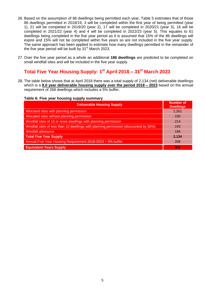- 26. Based on the assumption of 86 dwellings being permitted each year, Table 5 estimates that of those 86 dwellings permitted in 2018/19, 3 will be completed within the first year of being permitted (year 1), 21 will be completed in 2019/20 (year 2), 17 will be completed in 2020/21 (year 3), 16 will be completed in 2021/22 (year 4) and 4 will be completed in 2022/23 (year 5). This equates to 61 dwellings being completed in the five year period as it is assumed that 15% of the 86 dwellings will expire and 15% will not be completed within five years so are not included in the five year supply. The same approach has been applied to estimate how many dwellings permitted in the remainder of the five year period will be built by  $31<sup>st</sup>$  March 2023.
- 27. Over the five year period as a whole an additional **186 dwellings** are predicted to be completed on small windfall sites and will be included in the five year supply.

# **Total Five Year Housing Supply: 1 st April 2018 – 31st March 2023**

28. The table below shows that at April 2018 there was a total supply of 2,134 (net) deliverable dwellings which is a **8.0 year deliverable housing supply over the period 2018 – 2023** based on the annual requirement of 268 dwellings which includes a 5% buffer.

#### **Table 6: Five year housing supply summary**

| <b>Deliverable Housing Supply</b>                                                     | <b>Number of</b><br><b>Dwellings</b> |
|---------------------------------------------------------------------------------------|--------------------------------------|
| Allocated sites with planning permission                                              | 1,261                                |
| Allocated sites without planning permission                                           | 230                                  |
| Windfall sites of 10 or more dwellings with planning permission                       | 214                                  |
| Windfall sites of less than 10 dwellings with planning permission (discounted by 30%) | 243                                  |
| <b>Windfall allowance</b>                                                             | 186                                  |
| <b>Total Five Year Supply</b>                                                         | 2,134                                |
| Annual Five Year Housing Requirement 2018-2023 + 5% buffer                            | 268                                  |
| <b>Equivalent Years Supply</b>                                                        | 8.0                                  |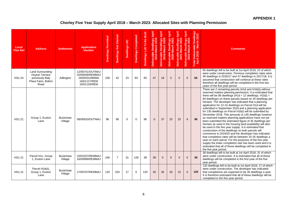## **Chorley Five Year Supply April 2018 – March 2023: Allocated Sites with Planning Permission**

| Local<br><b>Plan Ref</b> | <b>Address</b>                                                                             | <b>Settlement</b>          | <b>Application</b><br>.<br>Number                                                   | Dwellings Permitted | <b>Dwellings Not Started</b> | Dwellings U/C | Dwellings Completed | Built<br>Be<br>Dwellings Left To | Deliverable Dwellings April<br>2018-March 2019 | Deliverable Dwellings April<br>2019-March 2020 | Deliverable Dwellings April<br>2020-March 2021 | Dwellings April<br>arch 2022<br>Deliverable Dwell<br>2021-March | Dwellings April<br><i>Narch 2023</i><br>larch<br>$\bullet$<br>Deliverable<br>2022-l | Dwellings<br>rch 2023<br>rerable<br>18 - Mar<br>$rac{1}{201}$<br>Total De | <b>Comments</b>                                                                                                                                                                                                                                                                                                                                                                                                                                                                                                                                                                                                                                                                                                                                                                                                                                                                                                                                                                                                                                                                                                                                                                  |
|--------------------------|--------------------------------------------------------------------------------------------|----------------------------|-------------------------------------------------------------------------------------|---------------------|------------------------------|---------------|---------------------|----------------------------------|------------------------------------------------|------------------------------------------------|------------------------------------------------|-----------------------------------------------------------------|-------------------------------------------------------------------------------------|---------------------------------------------------------------------------|----------------------------------------------------------------------------------------------------------------------------------------------------------------------------------------------------------------------------------------------------------------------------------------------------------------------------------------------------------------------------------------------------------------------------------------------------------------------------------------------------------------------------------------------------------------------------------------------------------------------------------------------------------------------------------------------------------------------------------------------------------------------------------------------------------------------------------------------------------------------------------------------------------------------------------------------------------------------------------------------------------------------------------------------------------------------------------------------------------------------------------------------------------------------------------|
| <b>HS1.24</b>            | Land Surrounding<br><b>Huyton Terrace</b><br>previously Baly<br>Place Farm, Bolton<br>Road | Adlington                  | 12/00741/OUTMAJ<br>15/00506/REMMAJ<br>16/00431/MNMA<br>16/01127/REM<br>16/01126/REM | 158                 | 42                           | 23            | 93                  | 65                               | 47                                             | 18                                             | $\Omega$                                       | $\mathbf{0}$                                                    | $\mathbf{0}$                                                                        | 65                                                                        | 65 dwellings left to be built at 1st April 2018, 23 of which<br>were under construction. Previous completion rates were<br>46 dwellings in 2016/17 and 47 dwellings in 2017/18. It is<br>assumed that construction will continue at these rates<br>therefore all dwellings will be completed in the first two<br>years of the five year period.                                                                                                                                                                                                                                                                                                                                                                                                                                                                                                                                                                                                                                                                                                                                                                                                                                  |
| HS1.21                   | Group 1, Euxton<br>Lane                                                                    | <b>Buckshaw</b><br>Village | 08/00910/OUTMAJ                                                                     | 96                  | 96                           | $\Omega$      | $\Omega$            | 96                               | $\mathbf{0}$                                   | 37                                             | 25                                             | 25                                                              | 9                                                                                   | 96                                                                        | There are 2 remaining parcels (H1d and H1b(i)) without<br>reserved matters planning permission. It is estimated that<br>there will be 96 dwellings ( $H1d = 12$ dwellings, $H1b(i) =$<br>84 dwellings) on these parcels based on 35 dwellings per<br>hectare. The developer has indicated that a planning<br>application for 12-15 dwellings on Parcel H1d will be<br>submitted in September 2018 and a planning application<br>for 130 dwellings on Parcel H1b(i) will be submitted by<br>December 2018. This amounts to 145 dwellings however<br>as reserved matters planning applications have not yet<br>been submitted the estimated figure of 35 dwellings per<br>hectare as used in the housing land availability will also<br>be used in the five year supply. It is estimated that<br>construction of the dwellings on both parcels will<br>commence in 2019/20 and the developer has indicated<br>that completion rates will be between 25-35 dwellings a<br>year on each parcel. For the purposes of the five year<br>supply the lower completion rate has been used and it is<br>estimated that all of these dwellings will be completed in<br>the five year period. |
| HS1.21                   | Parcel H1c, Group<br>1, Euxton Lane                                                        | <b>Buckshaw</b><br>Village | 15/01037/REMMAJ<br>16/00999/REMMAJ                                                  | 166                 | $\overline{7}$               | 31            | 128                 | 38                               | 38                                             | $\Omega$                                       | $\overline{0}$                                 | $\Omega$                                                        | $\mathbf{0}$                                                                        | 38                                                                        | 38 dwellings left to be built at 1st April 2018, 31 of which<br>were under construction. It is estimated that all of these<br>dwellings will be completed in the first year of the five<br>year period.                                                                                                                                                                                                                                                                                                                                                                                                                                                                                                                                                                                                                                                                                                                                                                                                                                                                                                                                                                          |
| HS1.21                   | Parcel H1b(ii),<br>Group 1, Euxton<br>Lane                                                 | <b>Buckshaw</b><br>Village | 17/00767/REMMAJ                                                                     | 120                 | 103                          | 17            | $\mathbf 0$         | 120                              | 35                                             | 35                                             | 35                                             | 15                                                              | $\mathbf{0}$                                                                        | 120                                                                       | 120 dwellings left to be built at 1st April 2018, 17 of which<br>were under construction. The developer has indicated<br>that completions are expected to be 35 dwellings a year.<br>It is therefore estimated that all of these dwellings will be<br>completed in the five year period.                                                                                                                                                                                                                                                                                                                                                                                                                                                                                                                                                                                                                                                                                                                                                                                                                                                                                         |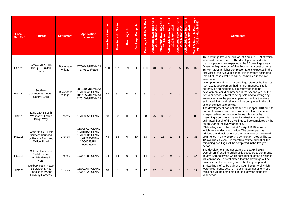| Local<br><b>Plan Ref</b> | <b>Address</b>                                                                                | <b>Settlement</b>          | <b>Application</b><br><b>Number</b>                                                                    | Dwellings Permitted | <b>Dwellings Not Started</b> | Dwellings U/C | Dwellings Completed | Built<br>Be<br>$\overline{P}$<br>Left <sup>-</sup><br><b>Dwellings</b> | Deliverable Dwellings April<br>2018-March 2019 | April<br>Deliverable Dwellings<br>2019-March 2020 | Deliverable Dwellings April<br>2020-March 2021 | Dwellings April<br>larch 2022<br>Deliverable Dwell<br>2021-March | April<br>lings<br>Deliverable Dwelli<br>2022-March 2 | ellings<br>2023<br>Š<br>$\epsilon$<br>erable<br>8 - Mar<br>201<br>Deliv<br>Total De | <b>Comments</b>                                                                                                                                                                                                                                                                                                                                                                                                                                           |
|--------------------------|-----------------------------------------------------------------------------------------------|----------------------------|--------------------------------------------------------------------------------------------------------|---------------------|------------------------------|---------------|---------------------|------------------------------------------------------------------------|------------------------------------------------|---------------------------------------------------|------------------------------------------------|------------------------------------------------------------------|------------------------------------------------------|-------------------------------------------------------------------------------------|-----------------------------------------------------------------------------------------------------------------------------------------------------------------------------------------------------------------------------------------------------------------------------------------------------------------------------------------------------------------------------------------------------------------------------------------------------------|
| <b>HS1.21</b>            | Parcels M1 & H1a,<br>Group 1, Euxton<br>Lane                                                  | <b>Buckshaw</b><br>Village | 17/00441/REMMAJ<br>17/01123/REM                                                                        | 160                 | 121                          | 39            | $\Omega$            | 160                                                                    | 40                                             | 35                                                | 35                                             | 35                                                               | 15                                                   | 160                                                                                 | 160 dwellings left to be built at 1st April 2018, 39 of which<br>were under construction. The developer has indicated<br>that completions are expected to be 35 dwellings a year.<br>Given the high number of dwellings under construction at<br>1st April 2018 a higher completion rate is expected in the<br>first year of the five year period. It is therefore estimated<br>that all of these dwellings will be completed in the five<br>year period. |
| <b>HS1.22</b>            | Southern<br><b>Commercial Quarter</b><br><b>Central Core</b>                                  | <b>Buckshaw</b><br>Village | 08/01100/REMMAJ<br>10/00334/FULMAJ<br>10/01052/REMMAJ<br>12/01001/REMMAJ                               | 83                  | 31                           | $\Omega$      | 52                  | 31                                                                     | $\overline{0}$                                 | $\Omega$                                          | 31                                             | $\mathbf{0}$                                                     | $\overline{0}$                                       | 31                                                                                  | One apartment block of 31 dwellings left to be built at 1st<br>April 2018, development had not commenced. Site is<br>currently being marketed, it is estimated that the<br>development could commence in the second year of the<br>five year period subject to being sold and following any<br>amendments to the planning permission. It is therefore<br>estimated that the dwellings will be completed in the third<br>year of the five year period.     |
| <b>HS1.1</b>             | Land 120m South<br>West of 21 Lower<br>Burgh Way                                              | Chorley                    | 16/00805/FULMAJ                                                                                        | 88                  | 88                           | $\Omega$      | $\mathbf 0$         | 88                                                                     | 25                                             | 30                                                | 30                                             | 3                                                                | $\mathbf{0}$                                         | 88                                                                                  | The development had not started at 1st April 2018 but site<br>preparation works were underway therefore development<br>is expected to commence in the next few months.<br>Assuming a completion rate of 30 dwellings a year it is<br>estimated that all of the dwellings will be completed by the<br>fourth year of the five year period.                                                                                                                 |
| HS1.16                   | <b>Former Initial Textile</b><br>Services bounded<br>by Botany Brow and<br><b>Willow Road</b> | Chorley                    | 11/00871/FULMAJ<br>12/01015/FULMAJ<br>13/00993/FULMAJ<br>14/01225/MNMA<br>15/00028/FUL<br>16/00053/FUL | 43                  | 33                           | $\Omega$      | 10                  | 33                                                                     | $\mathbf{0}$                                   | 13                                                | 12                                             | 8                                                                | $\overline{0}$                                       | 33                                                                                  | 33 dwellings left to be built at 1st April 2018, none of<br>which were under construction. The developer has<br>advised that development of the remainder of the site will<br>commence in early 2019 and completion rates will be 10-<br>12 dwellings a year. It is therefore estimated that all the<br>remaining dwellings will be completed in the five year<br>period.                                                                                 |
| <b>HS1.18</b>            | Calder House and<br>Rydal House,<br><b>Highfield Road</b><br>North                            | Chorley                    | 17/00438/FULMAJ                                                                                        | 14                  | 14                           | $\Omega$      | $\Omega$            | 14                                                                     | $\Omega$                                       | 14                                                | $\Omega$                                       | $\Omega$                                                         | $\Omega$                                             | 14                                                                                  | The development had not started at 1st April 2018.<br>Demolition of existing buildings is expected to commence<br>in May 2018 following which construction of the dwellings<br>will commence. It is estimated that the dwellings will be<br>completed in the second year of the five year period.                                                                                                                                                         |
| <b>HS1.2</b>             | Duxbury Park Phase<br>2 Between Myles<br>Standish Way And<br><b>Duxbury Gardens</b>           | Chorley                    | 13/00178/FULMAJ<br>15/00482/FULMAJ                                                                     | 68                  | 8                            | g             | 51                  | 17                                                                     | 17                                             | $\Omega$                                          | $\overline{0}$                                 | $\Omega$                                                         | $\Omega$                                             | 17                                                                                  | 17 dwellings left to be built at 1st April 2018, 9 of which<br>were under construction. It is estimated that all of these<br>dwellings will be completed in the first year of the five<br>year period.                                                                                                                                                                                                                                                    |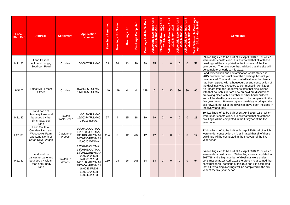| Local<br><b>Plan Ref</b> | <b>Address</b>                                                                                                | <b>Settlement</b>      | <b>Application</b><br><b>Number</b>                                                                                                                                         | Dwellings Permitted | Dwellings Not Started | Dwellings U/C | Dwellings Completed | Built<br>To Be<br>Left"<br><b>Dwellings</b> | Deliverable Dwellings April<br>2018-March 2019 | April<br>Deliverable Dwellings<br>2019-March 2020 | Deliverable Dwellings April<br>2020-March 2021 | Dwellings April<br>larch 2022<br>Deliverable Dwell<br>2021-March | April<br>lings<br>Īev<br>-March<br>ă<br>$\bullet$<br>Deliverable<br>2022- | rellings<br>2023<br>Š<br>동<br>erable<br>8 - Mar<br>eliv<br>201<br>$\Delta$<br>April<br><b>Total</b> | <b>Comments</b>                                                                                                                                                                                                                                                                                                                                                                                                                                                                                                                                                                                                                                                                          |
|--------------------------|---------------------------------------------------------------------------------------------------------------|------------------------|-----------------------------------------------------------------------------------------------------------------------------------------------------------------------------|---------------------|-----------------------|---------------|---------------------|---------------------------------------------|------------------------------------------------|---------------------------------------------------|------------------------------------------------|------------------------------------------------------------------|---------------------------------------------------------------------------|-----------------------------------------------------------------------------------------------------|------------------------------------------------------------------------------------------------------------------------------------------------------------------------------------------------------------------------------------------------------------------------------------------------------------------------------------------------------------------------------------------------------------------------------------------------------------------------------------------------------------------------------------------------------------------------------------------------------------------------------------------------------------------------------------------|
| HS1.20                   | Land East of<br>Ackhurst Lodge,<br>Southport Road                                                             | Chorley                | 16/00857/FULMAJ                                                                                                                                                             | 59                  | 26                    | 13            | 20                  | 39                                          | 35                                             | $\overline{4}$                                    | $\Omega$                                       | $\Omega$                                                         | $\Omega$                                                                  | 39                                                                                                  | 39 dwellings left to be built at 1st April 2018, 13 of which<br>were under construction. It is estimated that all of these<br>dwellings will be completed in the first year of the five<br>year period. The developer has advised that the site will<br>be complete by early to mid 2019.                                                                                                                                                                                                                                                                                                                                                                                                |
| <b>HS1.7</b>             | Talbot Mill, Froom<br><b>Street</b>                                                                           | Chorley                | 07/01426/FULMAJ<br>11/00875/FULMAJ                                                                                                                                          | 149                 | 149                   | $\Omega$      | $\Omega$            | 149                                         | $\mathbf{0}$                                   | $\Omega$                                          | 30                                             | 30                                                               | 30                                                                        | 90                                                                                                  | Land remediation and contamination works started in<br>2015 however construction of the dwellings has not yet<br>commenced. The landowner stated last year that terms<br>had been agreed with a housebuilder and construction of<br>the dwellings was expected to commence in April 2018.<br>An update from the landowner states that discussions<br>with that housebuilder are now on hold but discussions<br>are taking place with a number of other housebuilders<br>and all the dwellings are expected to be completed in the<br>five year period. However, given the delay in bringing the<br>site forward, not all of the dwellings have been included in<br>the five year supply. |
| HS1.30                   | Land north of<br>Swansey Lane and<br>bounded by the<br>Elms, Swansey<br>Lane                                  | Clayton<br>Brook/Green | 14/00199/FULMAJ<br>16/00374/FULMAJ<br>16/01136/FUL                                                                                                                          | 37                  | $\overline{4}$        | 15            | 18                  | 19                                          | 19                                             | $\Omega$                                          | $\Omega$                                       | $\Omega$                                                         | $\Omega$                                                                  | 19                                                                                                  | 19 dwellings left to be built at 1st April 2018, 15 of which<br>were under construction. It is estimated that all of these<br>dwellings will be completed in the first year of the five<br>year period.                                                                                                                                                                                                                                                                                                                                                                                                                                                                                  |
| HS1.31                   | Land South of<br>Cuerden Farm and<br><b>Woodcocks Farm</b><br>and Land North of<br>Caton Drive, Wigan<br>Road | Clayton-le-<br>Woods   | 10/00414/OUTMAJ<br>11/01085/OUTMAJ<br>13/00138/REMMAJ<br>14/00730/REMMAJ<br>16/00202/MNMA                                                                                   | 294                 | $\mathbf 0$           | 12            | 282                 | 12                                          | 12                                             | $\Omega$                                          | $\Omega$                                       | $\mathbf{0}$                                                     | $\overline{0}$                                                            | 12                                                                                                  | 12 dwellings left to be built at 1st April 2018, all of which<br>were under construction. It is estimated that all of these<br>dwellings will be completed in the first year of the five<br>year period.                                                                                                                                                                                                                                                                                                                                                                                                                                                                                 |
| <b>HS1.31</b>            | Land North of<br>Lancaster Lane and<br>bounded by Wigan<br>Road and Shady<br>Lane                             | Clayton-le-<br>Woods   | 12/00941/OUTMAJ<br>13/00803/OUTMAJ<br>13/00822/REMMAJ<br>14/00541/REM<br>14/00867/REM<br>14/01003/REMMAJ<br>15/00664/REMMAJ<br>16/00469/REM<br>17/00190/REM<br>17/00403/REM | 160                 | 28                    | 26            | 106                 | 54                                          | 54                                             | $\mathbf{0}$                                      | $\Omega$                                       | $\mathbf{0}$                                                     | $\overline{0}$                                                            | 54                                                                                                  | 54 dwellings left to be built at 1st April 2018, 26 of which<br>were under construction. 59 dwellings were completed in<br>2017/18 and a high number of dwellings were under<br>construction at 1st April 2018 therefore it is assumed that<br>construction will continue at this rate and it is estimated<br>that all remaining dwellings will be completed in the first<br>year of the five year period.                                                                                                                                                                                                                                                                               |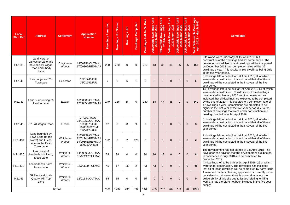| Local<br><b>Plan Ref</b> | <b>Address</b>                                                                               | <b>Settlement</b>    | <b>Application</b><br><b>Number</b>                                             | <b>Dwellings Permitted</b> | <b>Dwellings Not Started</b> | Dwellings U/C  | Dwellings Completed | Built<br>Be<br>Left To<br><b>Dwellings</b> | Dwellings April<br>Iarch 2019<br>Deliverable Dwell<br>2018-March | <b>April</b><br>llings<br>Deliverable Dwelli<br>2019-March 2 | Deliverable Dwellings April<br>2020-March 2021 | Dwellings April<br>Iarch 2022<br>Deliverable Dwell<br>2021-March | April<br>lings<br>-March<br>Dwel<br>$\bullet$<br>Deliverable<br>2022- | Dwellings<br>rch 2023<br>$\frac{2}{9}$<br>Deliverable I<br>ril 2018 - Mar<br>Total De | <b>Comments</b>                                                                                                                                                                                                                                                                                                                                                                                                                                                                                                             |
|--------------------------|----------------------------------------------------------------------------------------------|----------------------|---------------------------------------------------------------------------------|----------------------------|------------------------------|----------------|---------------------|--------------------------------------------|------------------------------------------------------------------|--------------------------------------------------------------|------------------------------------------------|------------------------------------------------------------------|-----------------------------------------------------------------------|---------------------------------------------------------------------------------------|-----------------------------------------------------------------------------------------------------------------------------------------------------------------------------------------------------------------------------------------------------------------------------------------------------------------------------------------------------------------------------------------------------------------------------------------------------------------------------------------------------------------------------|
| HS1.31                   | Land North of<br>Lancaster Lane and<br>bounded by Wigan<br>Road and Shady<br>Lane            | Clayton-le-<br>Woods | 14/00951/OUTMAJ<br>17/00369/REMMAJ                                              | 220                        | 220                          | $\Omega$       | $\Omega$            | 220                                        | 13                                                               | 36                                                           | 36                                             | 36                                                               | 36                                                                    | 157                                                                                   | Site works were underway at 1st April 2018 but<br>construction of the dwellings had not commenced. The<br>developer has advised that 4 dwellings will be completed<br>by December 2018 then completion rates will be 36<br>dwellings a year. This results in 157 dwellings being built<br>in the five year period.                                                                                                                                                                                                          |
| HS1.49                   | Land adjacent 75<br>Towngate                                                                 | Eccleston            | 15/01246/FUL<br>16/01191/FUL                                                    | $\overline{7}$             | $\mathbf 0$                  | 6              | $\mathbf{1}$        | 6                                          | 6                                                                | $\mathbf{0}$                                                 | $\mathbf{0}$                                   | $\mathbf{0}$                                                     | $\overline{0}$                                                        | 6                                                                                     | 6 dwellings left to be built at 1st April 2018, all of which<br>were under construction. It is estimated that all of these<br>dwellings will be completed in the first year of the five<br>year period.                                                                                                                                                                                                                                                                                                                     |
| HS1.39                   | Land surrounding 89<br>Euxton Lane                                                           | Euxton               | 16/00380/OUTMAJ<br>17/00356/REMMAJ                                              | 140                        | 126                          | 14             | $\Omega$            | 140                                        | 58                                                               | 47                                                           | 35                                             | $\Omega$                                                         | $\Omega$                                                              | 140                                                                                   | 140 dwellings left to be built at 1st April 2018, 14 of which<br>were under construction. Construction of the dwellings<br>commenced in January 2018 and the developer has<br>indicated that all dwellings are expected to be completed<br>by the end of 2020. This equates to a completion rate of<br>47 dwellings a year. Completions are predicted to be<br>higher in the first year of the five year period due to the<br>number of dwellings that were under construction and<br>nearing completion at 1st April 2018. |
| <b>HS1.41</b>            | 37 - 41 Wigan Road                                                                           | Euxton               | 07/00974/OUT<br>08/01052/OUTMAJ<br>10/00573/FUL<br>10/00398/REM<br>11/00874/FUL | 12                         | $\mathbf 0$                  | 3              | 9                   | 3                                          | 3                                                                | $\overline{0}$                                               | $\Omega$                                       | $\Omega$                                                         | $\overline{0}$                                                        | $\overline{\mathbf{3}}$                                                               | 3 dwellings left to be built at 1st April 2018, all of which<br>were under construction. It is estimated that all of these<br>dwellings will be completed in the first year of the five<br>year period.                                                                                                                                                                                                                                                                                                                     |
| <b>HS1.43A</b>           | Land bounded by<br>Town Lane (to the<br>North) and Lucas<br>Lane (to the East),<br>Town Lane | Whittle-le-<br>Woods | 11/00992/OUTMAJ<br>12/01244/REMMAJ<br>14/00563/REMMAJ<br>15/00520/REM           | 122                        | 0                            | $\overline{2}$ | 120                 | 2                                          | 2                                                                | $\Omega$                                                     | $\overline{0}$                                 | $\Omega$                                                         | $\mathbf{0}$                                                          | $\overline{2}$                                                                        | 2 dwellings left to be built at 1st April 2018, all of which<br>were under construction. It is estimated that all of these<br>dwellings will be completed in the first year of the five<br>year period.                                                                                                                                                                                                                                                                                                                     |
| <b>HS1.43C</b>           | Land west of<br>Leatherlands Farm,<br>Moss Lane                                              | Whittle-le-<br>Woods | 14/00900/OUTMAJ<br>16/00247/FULMAJ                                              | 34                         | 34                           | $\Omega$       | $\Omega$            | 34                                         | 16                                                               | 18                                                           | $\overline{0}$                                 | $\Omega$                                                         | $\Omega$                                                              | 34                                                                                    | The development had not started at 1st April 2018. The<br>developer has advised that the development is expected<br>to commence in July 2018 and be completed by<br>December 2019.                                                                                                                                                                                                                                                                                                                                          |
| <b>HS1.43C</b>           | Leatherlands Farm,<br>Moss Lane                                                              | Whittle-le-<br>Woods | 16/00509/FULMAJ                                                                 | 45                         | 17                           | 26             | $\overline{c}$      | 43                                         | 43                                                               | $\Omega$                                                     | $\overline{0}$                                 | $\mathbf{0}$                                                     | $\Omega$                                                              | 43                                                                                    | 43 dwellings left to be built at 1st April 2018, 26 of which<br>were under construction. The developer has indicated<br>that all of these dwellings will be completed by early 2019.                                                                                                                                                                                                                                                                                                                                        |
| HS1.53                   | JF Electrical, Little<br>Quarry, Hill Top<br>Lane                                            | Whittle-le-<br>Woods | 12/01134/OUTMAJ                                                                 | 85                         | 85                           | $\Omega$       | $\Omega$            | 85                                         | $\overline{0}$                                                   | $\Omega$                                                     | $\overline{0}$                                 | $\Omega$                                                         | $\Omega$                                                              | $\mathbf{0}$                                                                          | A reserved matters planning application is currently under<br>consideration. However there is uncertainty about the<br>deliverability of this site due to issues relating to filling<br>works. It has therefore not been included in the five year<br>supply.                                                                                                                                                                                                                                                               |
|                          |                                                                                              | <b>TOTAL</b>         |                                                                                 | 2360                       | 1232                         | 236            | 892                 | 1468                                       | 463                                                              | 287                                                          | 269                                            | 152                                                              | 90                                                                    | 1261                                                                                  |                                                                                                                                                                                                                                                                                                                                                                                                                                                                                                                             |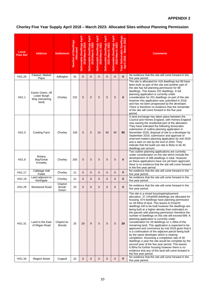## **APPENDIX 2**

# **Chorley Five Year Supply April 2018 – March 2023: Allocated Sites without Planning Permission**

| Local<br><b>Plan Ref</b> | <b>Address</b>                                             | <b>Settlement</b>           | <b>Number of Dwellings</b><br><b>Allocated</b> | Deliverable Dwellings April<br>ၜ<br>2018-March 201 | April<br>Deliverable Dwellings<br>2019-March 2020 | April<br>Deliverable Dwellings<br>2020-March 2021 | Deliverable Dwellings April<br>2021-March 2022 | April<br><b>Dwellings</b><br>2022-March 2023<br><b>Deliverable</b> | Total Deliverable Dwellings<br>April 2018 - March 2023<br>April 2018 | <b>Comments</b>                                                                                                                                                                                                                                                                                                                                                                                                                                                                                                                                                                                                                                                                                                                                                                                                                                                                                                                                                                                                              |
|--------------------------|------------------------------------------------------------|-----------------------------|------------------------------------------------|----------------------------------------------------|---------------------------------------------------|---------------------------------------------------|------------------------------------------------|--------------------------------------------------------------------|----------------------------------------------------------------------|------------------------------------------------------------------------------------------------------------------------------------------------------------------------------------------------------------------------------------------------------------------------------------------------------------------------------------------------------------------------------------------------------------------------------------------------------------------------------------------------------------------------------------------------------------------------------------------------------------------------------------------------------------------------------------------------------------------------------------------------------------------------------------------------------------------------------------------------------------------------------------------------------------------------------------------------------------------------------------------------------------------------------|
| HS1.26                   | Fairport, Market<br>Place                                  | Adlington                   | 31                                             | $\mathbf{0}$                                       | $\mathbf{0}$                                      | $\Omega$                                          | $\mathbf{0}$                                   | $\overline{0}$                                                     | $\mathbf{0}$                                                         | No evidence that the site will come forward in the<br>five year period.                                                                                                                                                                                                                                                                                                                                                                                                                                                                                                                                                                                                                                                                                                                                                                                                                                                                                                                                                      |
| <b>HS1.1</b>             | Eaves Green, off<br>Lower Burgh<br>Way (remaining<br>land) | Chorley                     | 232                                            | $\mathbf 0$                                        | $\mathbf 0$                                       | $\mathbf{0}$                                      | $\mathbf{0}$                                   | 0                                                                  | $\bf{0}$                                                             | The site is allocated for 419 dwellings but 99 have<br>been built on part of the site and another part of<br>the site has full planning permission for 88<br>dwellings. This leaves 232 dwellings. A full<br>planning application is currently under<br>consideration for 201 dwellings on part of the site<br>however this application was submitted in 2016<br>and has not been progressed by the developer.<br>There is therefore no evidence that the remainder<br>of the site will come forward in the five year<br>period.                                                                                                                                                                                                                                                                                                                                                                                                                                                                                             |
| <b>HS1.5</b>             | <b>Cowling Farm</b>                                        | Chorley                     | 158                                            | $\mathbf{0}$                                       | $\mathbf 0$                                       | 10                                                | 40                                             | 40                                                                 | 90                                                                   | A land exchange has taken place between the<br>Council and Homes England, with Homes England<br>now owning the residential part of the allocation.<br>They have indicated the following timescales:<br>submission of outline planning application in<br>November 2018, disposal of site to a developer by<br>September 2019, submission and approval of<br>reserved matters planning application by mid 2020<br>and a start on site by the end of 2020. They<br>indicate that the build out rate is likely to be 40<br>dwellings per annum.                                                                                                                                                                                                                                                                                                                                                                                                                                                                                  |
| HS1.8                    | Botany<br>Bay/Great<br>Knowley                             | Chorley                     | 200                                            | $\mathbf{0}$                                       | $\mathbf 0$                                       | $\overline{0}$                                    | 0                                              | 0                                                                  | $\bf{0}$                                                             | Two outline planning applications are currently<br>under consideration on the site which include the<br>development of 288 dwellings in total. However,<br>as these applications have not yet been approved<br>there is no evidence that the site will come forward<br>in the five year period.                                                                                                                                                                                                                                                                                                                                                                                                                                                                                                                                                                                                                                                                                                                              |
| HS1.17                   | Cabbage Hall<br>Fields                                     | Chorley                     | 11                                             | $\mathbf{0}$                                       | $\mathbf 0$                                       | $\mathbf{0}$                                      | $\mathbf{0}$                                   | 0                                                                  | $\bf{0}$                                                             | No evidence that the site will come forward in the<br>five year period.                                                                                                                                                                                                                                                                                                                                                                                                                                                                                                                                                                                                                                                                                                                                                                                                                                                                                                                                                      |
| HS1.19                   | Land adjacent to<br>Northgate                              | Chorley                     | 21                                             | $\overline{0}$                                     | $\mathbf 0$                                       | $\mathbf{0}$                                      | $\mathbf{0}$                                   | 0                                                                  | $\bf{0}$                                                             | No evidence that the site will come forward in the<br>five year period.                                                                                                                                                                                                                                                                                                                                                                                                                                                                                                                                                                                                                                                                                                                                                                                                                                                                                                                                                      |
| HS1.29                   | Westwood Road                                              | Clayton<br>Brook/<br>Green  | 23                                             | $\Omega$                                           | $\Omega$                                          | $\Omega$                                          | $\Omega$                                       | $\Omega$                                                           | $\bf{0}$                                                             | No evidence that the site will come forward in the<br>five year period.                                                                                                                                                                                                                                                                                                                                                                                                                                                                                                                                                                                                                                                                                                                                                                                                                                                                                                                                                      |
| HS1.31                   | Land to the East<br>of Wigan Road                          | Clayton-le-<br><b>Woods</b> | 25                                             | 20                                                 | 9                                                 | $\Omega$                                          | $\mathbf{0}$                                   | $\mathbf{0}$                                                       | 29                                                                   | The site is a mixed housing/employment<br>allocation. 37.14ha/699 dwellings are allocated for<br>housing. 674 dwellings have planning permission<br>on 28.93ha of land. This leaves 8.21ha/25<br>dwellings left to be built however the dwellings are<br>being built at a higher density than estimated on<br>the parcels with planning permission therefore the<br>number of dwellings on this site will exceed 699. A<br>planning application is currently under<br>consideration for 29 dwellings on 1.26ha of the<br>remaining land. This application is expected to be<br>approved and commence by mid 2018 given that it<br>is a continuation of the adjacent parcel being built<br>by the same developer which is nearing<br>completion. Assuming a completion rate of 30<br>dwellings a year the site would be complete by the<br>second year of the five year period. This leaves<br>6.95ha for further housing however there is no<br>evidence that any of this land will come forward in<br>the five year period. |
| HS1.34                   | <b>Regent Street</b>                                       | Coppull                     | 22                                             | $\mathbf{0}$                                       | $\mathbf 0$                                       | $\mathbf{0}$                                      | $\mathbf{0}$                                   | 0                                                                  | $\bf{0}$                                                             | No evidence that the site will come forward in the<br>five year period.                                                                                                                                                                                                                                                                                                                                                                                                                                                                                                                                                                                                                                                                                                                                                                                                                                                                                                                                                      |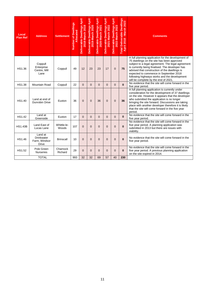| Local<br><b>Plan Ref</b> | <b>Address</b>                                                | <b>Settlement</b>    | Number of Dwellings<br><u>Allocated</u> | Deliverable Dwellings April<br>2018-March 2019 | April<br>Deliverable Dwellings<br>2019-March 2020 | April<br>Deliverable Dwellings<br>2020-March 2021 | Deliverable Dwellings April<br>2021-March 2022 | April<br><b>Dwellings</b><br>Deliverable Dwellings<br>2022-March 2023 | <b>Dwellings</b><br>- March 2023<br><b>Total Deliverable</b><br>$\infty$<br>April 201 | <b>Comments</b>                                                                                                                                                                                                                                                                                                                                                                             |
|--------------------------|---------------------------------------------------------------|----------------------|-----------------------------------------|------------------------------------------------|---------------------------------------------------|---------------------------------------------------|------------------------------------------------|-----------------------------------------------------------------------|---------------------------------------------------------------------------------------|---------------------------------------------------------------------------------------------------------------------------------------------------------------------------------------------------------------------------------------------------------------------------------------------------------------------------------------------------------------------------------------------|
| HS1.36                   | Coppull<br>Enterprise<br>Centre, Mill<br>Lane                 | Coppull              | 49                                      | 12                                             | 23                                                | 23                                                | 17                                             | $\mathbf 0$                                                           | 75                                                                                    | A full planning application for the development of<br>75 dwellings on the site has been approved<br>subject to a legal agreement. The legal agreement<br>is currently being finalised. The developer has<br>advised that construction of the dwellings is<br>expected to commence in September 2018<br>following highways works and the development<br>will be complete by the end of 2021. |
| <b>HS1.38</b>            | Mountain Road                                                 | Coppull              | 22                                      | $\mathbf{0}$                                   | $\overline{0}$                                    | $\overline{0}$                                    | $\mathbf{0}$                                   | $\overline{0}$                                                        | $\mathbf{0}$                                                                          | No evidence that the site will come forward in the<br>five year period.                                                                                                                                                                                                                                                                                                                     |
| HS1.40                   | Land at end of<br>Dunrobin Drive                              | Euxton               | 36                                      | $\Omega$                                       | $\overline{0}$                                    | 36                                                | $\Omega$                                       | $\overline{0}$                                                        | 36                                                                                    | A full planning application is currently under<br>consideration for the development of 37 dwellings<br>on the site. However it appears that the developer<br>who submitted the application is no longer<br>bringing the site forward. Discussions are taking<br>place with another developer therefore it is likely<br>that the site will come forward in the five year<br>period.          |
| <b>HS1.42</b>            | Land at<br>Greenside                                          | Euxton               | 17                                      | $\Omega$                                       | $\Omega$                                          | $\Omega$                                          | $\Omega$                                       | $\Omega$                                                              | $\bf{0}$                                                                              | No evidence that the site will come forward in the<br>five year period.                                                                                                                                                                                                                                                                                                                     |
| <b>HS1.43B</b>           | Land East of<br>Lucas Lane                                    | Whittle-le-<br>Woods | 107                                     | $\overline{0}$                                 | $\overline{0}$                                    | $\overline{0}$                                    | $\overline{0}$                                 | $\overline{0}$                                                        | $\bf{0}$                                                                              | No evidence that the site will come forward in the<br>five year period. A planning application was<br>submitted in 2013 but there are issues with<br>viability.                                                                                                                                                                                                                             |
| <b>HS1.46</b>            | Land at<br><b>Drinkwater</b><br>Farm, Windsor<br><b>Drive</b> | <b>Brinscall</b>     | 10                                      | $\overline{0}$                                 | $\overline{0}$                                    | $\overline{0}$                                    | $\Omega$                                       | $\overline{0}$                                                        | $\bf{0}$                                                                              | No evidence that the site will come forward in the<br>five year period.                                                                                                                                                                                                                                                                                                                     |
| HS1.52                   | Pole Green<br><b>Nurseries</b>                                | Charnock<br>Richard  | 29                                      | $\Omega$                                       | $\Omega$                                          | $\Omega$                                          | $\Omega$                                       | $\overline{0}$                                                        | $\bf{0}$                                                                              | No evidence that the site will come forward in the<br>five year period. A previous planning application<br>on the site expired in 2014.                                                                                                                                                                                                                                                     |
|                          | <b>TOTAL</b>                                                  |                      | 993                                     | 32                                             | 32                                                | 69                                                | 57                                             | 40                                                                    | 230                                                                                   |                                                                                                                                                                                                                                                                                                                                                                                             |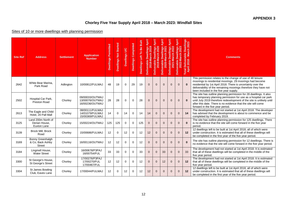## **Chorley Five Year Supply April 2018 – March 2023: Windfall Sites**

## Sites of 10 or more dwellings with planning permission

| <b>Site Ref</b> | <b>Address</b>                                        | <b>Settlement</b> | <b>Application</b><br><b>Number</b>                   | <b>Dwellings Permitted</b> | <b>Dwellings Not Started</b> | Dwellings U/C | <b>Dwellings Completed</b> | Built<br>Dwellings Left To Be | April<br>Deliverable Dwellings<br>2018-March 2019 | Deliverable Dwellings April<br>2019-March 2020 | April<br>Deliverable Dwellings<br>2020-March 2021 | April<br>Dwellings<br>larch 2022<br>Deliverable<br>2021 | erable Dwellings April<br>2022-March 2023<br><b>Deliverable</b> | Total Deliverable Dwellings<br>April 2018 - March 2023 | <b>Comments</b>                                                                                                                                                                                                                                                                                                      |
|-----------------|-------------------------------------------------------|-------------------|-------------------------------------------------------|----------------------------|------------------------------|---------------|----------------------------|-------------------------------|---------------------------------------------------|------------------------------------------------|---------------------------------------------------|---------------------------------------------------------|-----------------------------------------------------------------|--------------------------------------------------------|----------------------------------------------------------------------------------------------------------------------------------------------------------------------------------------------------------------------------------------------------------------------------------------------------------------------|
| 2642            | White Bear Marina,<br>Park Road                       | Adlington         | 10/00812/FULMAJ                                       | 48                         | 19                           | $\Omega$      | 29                         | 19                            | $\mathbf{0}$                                      | $\overline{0}$                                 | $\overline{0}$                                    | $\overline{0}$                                          | $\mathbf{0}$                                                    |                                                        | This permission relates to the change of use of 48 leisure<br>moorings to residential moorings. 29 moorings had become<br>residential by 1st April 2018. There is uncertainty over the<br>deliverability of the remaining moorings therefore they have not<br>been included in the five year supply.                 |
| 2502            | Hospital Car Park,<br>Preston Road                    | Chorley           | 09/00033/OUTMAJ<br>13/00076/OUTMAJ<br>16/00236/OUTMAJ | 28                         | 28                           | $\Omega$      | $\mathbf 0$                | 28                            | $\mathbf{0}$                                      | $\mathbf{0}$                                   | $\mathbf 0$                                       | $\overline{0}$                                          | $\mathbf{0}$                                                    | $\mathbf{0}$                                           | The site has outline planning permission for 28 dwellings. It also<br>has temporary planning permission for use as a hospital car park<br>until July 2019 therefore redevelopment of the site is unlikely until<br>after this date. There is no evidence that the site will come<br>forward in the five year period. |
| 2613            | The Eagle and Child<br>Hotel, 20 Pall Mall            | Chorley           | 08/00111/FULMAJ<br>14/01079/FULMAJ<br>15/00369/FULMAJ | 14                         | $\Omega$                     | 14            | $\mathbf 0$                | 14                            | 14                                                | $\mathbf{0}$                                   | $\Omega$                                          | $\Omega$                                                | $\Omega$                                                        | 14                                                     | The development had not started at 1st April 2018. The developer<br>has advised that the development is about to commence and be<br>completed by February 2019.                                                                                                                                                      |
| 3125            | Land 200m North of<br>Derian House,<br>Euxton Lane    | Chorley           | 15/00224/OUTMAJ                                       | 125                        | 125                          | $\mathbf 0$   | $\mathbf 0$                | 125                           | $\mathbf{0}$                                      | $\mathbf 0$                                    | $\mathbf 0$                                       | $\mathbf 0$                                             | $\mathbf{0}$                                                    | $\mathbf{0}$                                           | The site has outline planning permission for 125 dwellings. There<br>is no evidence that the site will come forward in the five year<br>period.                                                                                                                                                                      |
| 3139            | Brock Mill, Brock<br>Road                             | Chorley           | 15/00686/FULMAJ                                       | 12                         | $\mathbf 0$                  | 12            | $\mathbf 0$                | 12                            | 12                                                | $\mathbf{0}$                                   | $\mathbf 0$                                       | $\mathbf 0$                                             | $\mathbf 0$                                                     | 12                                                     | 12 dwellings left to be built at 1st April 2018, all of which were<br>under construction. It is estimated that all of these dwellings will<br>be completed in the first year of the five year period.                                                                                                                |
| 3169            | Bonny Greenhalgh<br>& Co, Back Ashby<br><b>Street</b> | Chorley           | 16/00116/OUTMAJ                                       | 12                         | 12                           | $\mathbf 0$   | $\mathbf 0$                | 12                            | $\overline{0}$                                    | $\mathbf{0}$                                   | $\mathbf{0}$                                      | $\mathbf{0}$                                            | $\Omega$                                                        | $\Omega$                                               | The site has outline planning permission for 12 dwellings. There is<br>no evidence that the site will come forward in the five year period.                                                                                                                                                                          |
| 3184            | Lingmell House,<br>Water Street                       | Chorley           | 16/00678/P3PAJ<br>16/00754/FUL                        | 33                         | 33                           | $\mathbf 0$   | 0                          | 33                            | $\overline{0}$                                    | $\overline{0}$                                 | 33                                                | $\mathbf{0}$                                            | $\overline{0}$                                                  | 33                                                     | The development had not started at 1st April 2018. It is estimated<br>that all of these dwellings will be completed in the middle of the<br>five year period.                                                                                                                                                        |
| 3300            | St George's House,<br>St George's Street              | Chorley           | 17/00276/P3PAJ<br>17/00270/FUL<br>17/00467/FUL        | 12                         | 12                           | $\mathbf 0$   | $\mathbf 0$                | 12                            | $\overline{0}$                                    | $\overline{0}$                                 | 12                                                | $\mathbf{0}$                                            | $\overline{0}$                                                  | 12                                                     | The development had not started at 1st April 2018. It is estimated<br>that all of these dwellings will be completed in the middle of the<br>five year period.                                                                                                                                                        |
| 3304            | St James Bowling<br>Club, Eaves Lane                  | Chorley           | 17/00044/FULMAJ                                       | 12                         | $\mathbf 0$                  | 12            | 0                          | 12                            | 12                                                | $\mathbf{0}$                                   | $\mathbf{0}$                                      | $\mathbf{0}$                                            | $\mathbf{0}$                                                    | 12                                                     | 12 dwellings left to be built at 1st April 2018, all of which were<br>under construction. It is estimated that all of these dwellings will<br>be completed in the first year of the five year period.                                                                                                                |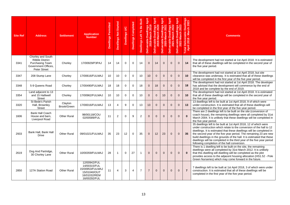| <b>Site Ref</b> | <b>Address</b>                                                                                                      | <b>Settlement</b>      | <b>Application</b><br><b>Number</b>                                                             | <b>Dwellings Permitted</b> | Dwellings Not Started | Dwellings U/C | <b>Dwellings Completed</b> | Dwellings Left To Be Built | <b>April</b><br>lings<br>ble Dwelli<br>8-March :<br>Deliverable<br>2018- | April<br>Dwellings<br>March 2020<br>Deliverable Dwelli<br>2019-March 2 | Deliverable Dwellings April<br>2020-March 2021 | April<br>lings<br>larch<br>Deliverable Dwel<br>2021-March | April<br>ings<br>່ສ<br>larch<br>g<br>ó<br>Deliverable D<br>2022-Ma | Total Deliverable Dwellings<br>April 2018 - March 2023 | <b>Comments</b>                                                                                                                                                                                                                                                                                                                                                                                                                                                                          |
|-----------------|---------------------------------------------------------------------------------------------------------------------|------------------------|-------------------------------------------------------------------------------------------------|----------------------------|-----------------------|---------------|----------------------------|----------------------------|--------------------------------------------------------------------------|------------------------------------------------------------------------|------------------------------------------------|-----------------------------------------------------------|--------------------------------------------------------------------|--------------------------------------------------------|------------------------------------------------------------------------------------------------------------------------------------------------------------------------------------------------------------------------------------------------------------------------------------------------------------------------------------------------------------------------------------------------------------------------------------------------------------------------------------------|
| 3341            | Chorley and South<br><b>Ribble District</b><br><b>Purchasing Team</b><br>Government Offices.<br><b>Peter Street</b> | Chorley                | 17/00929/P3PAJ                                                                                  | 14                         | 14                    | $\mathbf 0$   | $\Omega$                   | 14                         | $\Omega$                                                                 | 14                                                                     | $\mathbf{0}$                                   | $\overline{0}$                                            | $\mathbf{0}$                                                       | 14                                                     | The development had not started at 1st April 2018. It is estimated<br>that all of these dwellings will be completed in the second year of<br>the five year period.                                                                                                                                                                                                                                                                                                                       |
| 3347            | 208 Stump Lane                                                                                                      | Chorley                | 17/00616/FULMAJ                                                                                 | 10                         | 10                    | $\Omega$      | $\Omega$                   | 10                         | 10                                                                       | $\mathbf{0}$                                                           | $\overline{0}$                                 | $\mathbf{0}$                                              | $\mathbf{0}$                                                       | 10                                                     | The development had not started at 1st April 2018, but site<br>clearance was underway. It is estimated that all of these dwellings<br>will be completed in the first year of the five year period.                                                                                                                                                                                                                                                                                       |
| 3348            | 5-9 Queens Road                                                                                                     | Chorley                | 17/00490/FULMAJ                                                                                 | 18                         | 18                    | $\mathbf 0$   | $\mathbf 0$                | 18                         | $\overline{0}$                                                           | 18                                                                     | $\mathbf{0}$                                   | $\mathbf{0}$                                              | $\mathbf{0}$                                                       | 18                                                     | The development had not started at 1st April 2018. The developer<br>has advised that the development will commence by the end of<br>2018 and be complete by the end of 2019.                                                                                                                                                                                                                                                                                                             |
| 3354            | Land adjacent to 13<br>and 15 Halliwell<br><b>Street</b>                                                            | Chorley                | 17/00962/FULMAJ                                                                                 | 10                         | 10                    | $\mathbf 0$   | $\mathbf 0$                | 10                         | $\Omega$                                                                 | $\mathbf{0}$                                                           | 10                                             | $\overline{0}$                                            | $\mathbf{0}$                                                       | 10                                                     | The development had not started at 1st April 2018. It is estimated<br>that all of these dwellings will be completed in the second year of<br>the five year period.                                                                                                                                                                                                                                                                                                                       |
| 3320            | St Bede's Parish<br>Hall, Brownley<br><b>Street</b>                                                                 | Clayton<br>Brook/Green | 17/00016/FULMAJ                                                                                 | 13                         | 4                     | 9             | $\mathbf 0$                | 13                         | 13                                                                       | $\mathbf{0}$                                                           | $\mathbf{0}$                                   | $\mathbf{0}$                                              | $\mathbf{0}$                                                       | 13                                                     | 13 dwellings left to be built at 1st April 2018, 9 of which were<br>under construction. It is estimated that all of these dwellings will<br>be completed in the first year of the five year period.                                                                                                                                                                                                                                                                                      |
| 1606            | <b>Bank Hall Coach</b><br>House and barn.<br>Liverpool Road                                                         | <b>Other Rural</b>     | 98/00118/COU<br>02/00589/FUL                                                                    | 11                         | $\overline{2}$        | $\mathbf 0$   | 9                          | $\overline{2}$             | $\Omega$                                                                 | $\mathbf{0}$                                                           | $\mathbf{0}$                                   | $\Omega$                                                  | $\mathbf{0}$                                                       | $\mathbf{0}$                                           | There are 2 dwellings left to be built on the site (conversion of<br>coach house), the remaining dwellings were all completed by 31st<br>March 2004. It is unlikely that these dwellings will be completed in<br>the five year period.                                                                                                                                                                                                                                                   |
| 2933            | Bank Hall, Bank Hall<br><b>Drive</b>                                                                                | <b>Other Rural</b>     | 09/01021/FULMAJ                                                                                 | 35                         | 23                    | 12            | 0                          | 35                         | $\Omega$                                                                 | 12                                                                     | 23                                             | $\mathbf{0}$                                              | $\Omega$                                                           | 35                                                     | 35 dwellings left to be built at 1st April 2018, 12 of which were<br>under construction which relate to the conversion of the hall to 12<br>dwellings. It is estimated that these dwellings will be completed in<br>the second year of the five year period. The remaining 23 are new<br>build dwellings in the grounds of the hall. It is estimated that these<br>dwellings will be completed in the third year of the five year period<br>following completion of the hall conversion. |
| 2619            | Dog And Partridge,<br>30 Chorley Lane                                                                               | <b>Other Rural</b>     | 10/00359/FULMAJ                                                                                 | 28                         | -1                    | $\Omega$      | 27                         | -1                         | $\Omega$                                                                 | $\overline{0}$                                                         | $\Omega$                                       | $\overline{0}$                                            | $\mathbf{0}$                                                       | $\bf{0}$                                               | There is 1 dwelling left to be built on the site, the remaining<br>dwellings were all completed by 31st March 2012. It is unlikely<br>that this dwelling will dwelling will be completed as the plot<br>provides access to the adjacent housing allocation (HS1.52 - Pole<br>Green Nurseries) which may come forward in the future.                                                                                                                                                      |
| 2850            | 127A Station Road                                                                                                   | <b>Other Rural</b>     | 12/00942/FUL<br>14/00315/FUL<br>15/00953/FULMAJ<br>15/01040/OUT<br>16/01032/REM<br>16/00292/FUL | 11                         | 4                     | 3             | $\overline{4}$             | $\overline{7}$             | $\overline{7}$                                                           | $\overline{0}$                                                         | $\Omega$                                       | $\overline{0}$                                            | $\mathbf{0}$                                                       | $\overline{7}$                                         | 7 dwellings left to be built at 1st April 2018, 3 of which were under<br>construction. It is estimated that all of these dwellings will be<br>completed in the first year of the five year period.                                                                                                                                                                                                                                                                                       |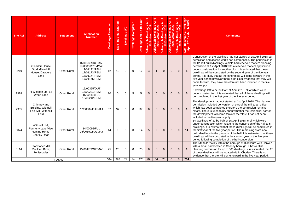| <b>Site Ref</b> | <b>Address</b>                                                        | <b>Settlement</b>  | <b>Application</b><br><b>Number</b>                                                                | <b>Dwellings Permitted</b> | <b>Dwellings Not Started</b> | Dwellings U/C | <b>Dwellings Completed</b> | Be Built<br>Dwellings Left To | April<br>Dwellings<br>March 2019<br>Deliverable Dwelli<br>2018-March 2 | Deliverable Dwellings April<br>2019-March 2020 | Deliverable Dwellings April<br>2020-March 2021 | e Dwellings April<br>-March 2022<br>Deliverable<br>2021-l | llings April<br>2023<br>larch<br>g<br>ò<br>$\pmb{\omega}$<br>Deliverabl<br><b>202</b> | Dwellings<br>rch 2023<br>- March<br>Total Deliverable<br>April 2018 - Mar | <b>Comments</b>                                                                                                                                                                                                                                                                                                                                                                                                                                                                                                                                                                                                                                         |  |  |
|-----------------|-----------------------------------------------------------------------|--------------------|----------------------------------------------------------------------------------------------------|----------------------------|------------------------------|---------------|----------------------------|-------------------------------|------------------------------------------------------------------------|------------------------------------------------|------------------------------------------------|-----------------------------------------------------------|---------------------------------------------------------------------------------------|---------------------------------------------------------------------------|---------------------------------------------------------------------------------------------------------------------------------------------------------------------------------------------------------------------------------------------------------------------------------------------------------------------------------------------------------------------------------------------------------------------------------------------------------------------------------------------------------------------------------------------------------------------------------------------------------------------------------------------------------|--|--|
| 3219            | Gleadhill House<br>Stud, Gleadhill<br>House, Dawbers<br>Lane          | <b>Other Rural</b> | 16/00633/OUTMAJ<br>17/00806/REMMAJ<br>17/01172/REM<br>17/01173/REM<br>17/01174/REM<br>17/01175/REM | 12                         | 12                           | $\mathbf 0$   | $\mathbf 0$                | 12                            | $\overline{4}$                                                         | $\mathbf{1}$                                   | $\mathbf{0}$                                   | $\mathbf{0}$                                              | $\mathbf{0}$                                                                          | 5                                                                         | Construction of the dwellings had not started at 1st April 2018 but<br>demolition and access works had commenced. The permission is<br>for 12 self-build dwellings, 4 plots had reserved matters planning<br>permission at 1st April 2018 with a reserved matters application<br>under consideration for another plot. It is estimated that these<br>dwellings will be completed by the second year of the five year<br>period. It is likely that all the other plots will come forward in the<br>five year period however there is no clear evidence that they will<br>come forward, they have therefore not been included in the five<br>year supply. |  |  |
| 2928            | H W Moon Ltd, 56<br>Wood Lane                                         | <b>Other Rural</b> | 13/00365/OUT<br>15/00281/REM<br>15/00282/FUL<br>16/00242/REM                                       | 10                         | $\Omega$                     | 5             | 5                          | 5                             | 5                                                                      | $\overline{0}$                                 | $\mathbf{0}$                                   | $\overline{0}$                                            | $\overline{0}$                                                                        | 5                                                                         | 5 dwellings left to be built at 1st April 2018, all of which were<br>under construction. It is estimated that all of these dwellings will<br>be completed in the first year of the five year period.                                                                                                                                                                                                                                                                                                                                                                                                                                                    |  |  |
| 2955            | Chimney and<br>Building, Withnell<br>Fold Mill, Withnell<br>Fold      | <b>Other Rural</b> | 12/00084/FULMAJ                                                                                    | 37                         | 37                           | $\mathbf 0$   | $\Omega$                   | 37                            | $\Omega$                                                               | $\overline{0}$                                 | $\mathbf{0}$                                   | $\overline{0}$                                            | $\Omega$                                                                              | $\bf{0}$                                                                  | The development had not started at 1st April 2018. The planning<br>permission included conversion of part of the mill to an office<br>which has been completed therefore the permission remains<br>extant. There is uncertainty about whether the residential part of<br>the development will come forward therefore it has not been<br>included in the five year supply.                                                                                                                                                                                                                                                                               |  |  |
| 3074            | Withnell Hall.<br>Formerly Lake View<br>Nursing Home,<br>Chorley Road | <b>Other Rural</b> | 14/00098/FUL<br>16/00697/FULMAJ                                                                    | 14                         | 9                            | 5             | $\Omega$                   | 14                            | 5                                                                      | 9                                              | $\Omega$                                       | $\overline{0}$                                            | $\Omega$                                                                              | 14                                                                        | 14 dwellings left to be built at 1st April 2018, 5 of which were<br>under construction which relate to the conversion of the hall to 5<br>dwellings. It is estimated that these dwellings will be completed in<br>the first year of the five year period. The remaining 9 are new<br>build dwellings in the grounds of the hall. It is estimated that these<br>dwellings will be completed in the second year of the five year<br>period following completion of the hall conversion.                                                                                                                                                                   |  |  |
| 3114            | Star Paper Mill,<br>Moulden Brow.<br>Feniscowles                      | <b>Other Rural</b> | 15/00475/OUTMAJ                                                                                    | 25                         | 25                           | $\mathbf 0$   | $\mathbf 0$                | 25                            | $\mathbf{0}$                                                           | $\overline{0}$                                 | $\mathbf{0}$                                   | $\mathbf{0}$                                              | $\mathbf{0}$                                                                          | $\bf{0}$                                                                  | The site falls mainly within the borough of Blackburn with Darwen<br>with a small part located in Chorley borough. It has outline<br>planning permission for up to 500 dwellings, it is estimated that 25<br>of these dwellings will be located within Chorley. There is no<br>evidence that the site will come forward in the five year period.                                                                                                                                                                                                                                                                                                        |  |  |
|                 |                                                                       | <b>TOTAL</b>       |                                                                                                    | 544                        | 398                          | 72            | 74                         | 470                           | 82                                                                     | 54                                             | 78                                             | $\overline{0}$                                            | $\mathbf{0}$                                                                          | 214                                                                       |                                                                                                                                                                                                                                                                                                                                                                                                                                                                                                                                                                                                                                                         |  |  |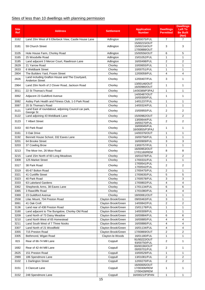# Sites of less than 10 dwellings with planning permission

| <b>Site</b><br>Ref | <b>Address</b>                                                            | <b>Settlement</b>   | <b>Application</b><br><b>Number</b>          | <b>Dwellings</b><br><b>Permitted</b> | <b>Dwellings</b><br>Left To<br><b>Be Built</b><br>(Net) |
|--------------------|---------------------------------------------------------------------------|---------------------|----------------------------------------------|--------------------------------------|---------------------------------------------------------|
| 3162               | Land 20m West of 6 Ellerbeck View, Castle House Lane                      | Adlington           | 16/00075/FUL                                 | $\overline{7}$                       | $\overline{7}$                                          |
| 3181               | 59 Church Street                                                          | Adlington           | 15/00215/OUT<br>15/00216/OUT<br>17/00888/OUT | 3                                    | 3                                                       |
| 3105               | Hole House Farm, Chorley Road                                             | Adlington           | 15/00556/OUT                                 | 6                                    | 5                                                       |
| 3165               | 25 Woodville Road                                                         | Adlington           | 15/01052/FUL                                 | 1                                    | 1                                                       |
| 3185               | Land adjacent 3 Mercer Court, Rawlinson Lane                              | Adlington           | 16/00498/FUL                                 | 2                                    | 2                                                       |
| 2629               | 21 Yarrow Road                                                            | Chorley             | 10/00655/FUL                                 | 1                                    | 1                                                       |
| 2633               | 6 Weldbank Street                                                         | Chorley             | 10/00751/FUL                                 | 1                                    | 1                                                       |
| 2804               | The Builders Yard. Froom Street                                           | Chorley             | 12/00059/FUL                                 | 4                                    | 4                                                       |
| 2826               | Land including Grafton House and The Courtyard,<br><b>Anderton Street</b> | Chorley             | 12/00407/FUL                                 | 3                                    | 1                                                       |
| 2964               | Land 20m North of 2 Clover Road, Jackson Road                             | Chorley             | 13/00146/OUT<br>16/00980/OUT                 | 1                                    | 1                                                       |
| 3011               | 22 St Thomas's Road                                                       | Chorlev             | 14/00389/P3PAJ                               | $\mathbf{1}$                         | $\mathbf{1}$                                            |
| 3062               | Adjacent 23 Guildford Avenue                                              | Chorley             | 14/00487/OUT<br>16/00300/FUL                 | 1                                    | 1                                                       |
| 3082               | Astley Park Health and Fitness Club, 1-3 Park Road                        | Chorley             | 14/01237/FUL                                 | 1                                    | $\mathbf{1}$                                            |
| 3087               | 20 St Thomas's Road                                                       | Chorley             | 14/00324/FUL                                 | $\mathbf{1}$                         | $\mathbf{1}$                                            |
| 3121               | Land East of roundabout, adjoining Council car park,<br>George St         | Chorley             | 15/00955/FUL                                 | 2                                    | $\overline{2}$                                          |
| 3122               | Land adjoining 43 Weldbank Lane                                           | Chorley             | 15/00982/OUT                                 | 2                                    | $\overline{2}$                                          |
| 3123               | 7 Albert Street                                                           | Chorley             | 13/00644/FUL<br>16/00270/FUL                 | 2                                    | 2                                                       |
| 3153               | 60 Park Road                                                              | Chorley             | 16/00045/FUL<br>16/00855/P3PAJ               | 1                                    | 1                                                       |
| 3161               | 3 Oak Drive                                                               | Chorley             | 14/00376/OUT                                 | 1                                    | 1                                                       |
| 3192               | Bennett House School, 332 Eaves Lane                                      | Chorley             | 16/00756/FUL                                 | $\mathbf{1}$                         | $\mathbf{1}$                                            |
| 3201               | 64 Brooke Street                                                          | Chorley             | 16/00909/FUL                                 | 3                                    | 3                                                       |
| 3203               | 37 Cowling Brow                                                           | Chorley             | 13/00757/FUL                                 | $\mathbf{1}$                         | 1                                                       |
| 3213               | The Moor Inn, 26 Moor Road                                                | Chorley             | 16/00953/OUT<br>17/01160/REM                 | 8                                    | 8                                                       |
| 3215               | Land 15m North of 60 Long Meadows                                         | Chorley             | 16/01078/FUL                                 | 2                                    | 2                                                       |
| 3309               | 125 Market Street                                                         | Chorley             | 17/00331/FUL                                 | 1                                    | 1                                                       |
| 3317               | 38 Park Road                                                              | Chorley             | 17/00541/FUL<br>17/00542/FUL                 | 2                                    | $\overline{2}$                                          |
| 3319               | 65-67 Bolton Road                                                         | Chorley             | 17/00475/FUL                                 | 2                                    | 1                                                       |
| 3321               | 41 Cunliffe Street                                                        | Chorley             | 17/00635/FUL                                 | 5                                    | 5                                                       |
| 3323               | 40 Park Road                                                              | Chorley             | 17/00578/FUL                                 | З                                    | З                                                       |
| 3333               | 63 Lakeland Gardens                                                       | Chorley             | 17/00802/FUL                                 | 4                                    | 4                                                       |
| 3362               | Shepherds Arms, 38 Eaves Lane                                             | Chorley             | 17/01134/FUL                                 | 6                                    | 6                                                       |
| 3365               | 3 Rawcliffe Road                                                          | Chorley             | 17/01080/FUL                                 | 4                                    | 4                                                       |
| 3369               | 23 Guildford Avenue                                                       | Chorley             | 18/00061/OUT                                 | 1                                    | 1                                                       |
| 2558               | Lilac Mount, 704 Preston Road                                             | Clayton Brook/Green | 09/00463/FUL                                 | 3                                    | 1                                                       |
| 3061               | 41 Oak Croft                                                              | Clayton Brook/Green | 14/00842/FUL                                 | 2                                    | $\overline{2}$                                          |
| 3136               | Land rear of 438 Preston Road                                             | Clayton Brook/Green | 15/01178/FUL                                 | 1                                    | 1                                                       |
| 3160               | Land adjacent to The Bungalow, Chorley Old Road                           | Clayton Brook/Green | 14/00309/FUL                                 | 1                                    | 1                                                       |
| 3209               | Land North of 73 Daisy Meadow                                             | Clayton Brook/Green | 16/00884/FUL                                 | 6                                    | 6                                                       |
| 3210               | Land North West of 65 Homestead                                           | Clayton Brook/Green | 16/00885/FUL                                 | 4                                    | 4                                                       |
| 3211               | Land South West of 7 Three Nooks                                          | Clayton Brook/Green | 16/00886/FUL                                 | 4                                    | 4                                                       |
| 3307               | Land North of 21 Woodfield                                                | Clayton Brook/Green | 16/01134/FUL                                 | 4                                    | 4                                                       |
| 3355               | 715 Preston Road                                                          | Clayton Brook/Green | 17/00869/OUT                                 | 2                                    | 2                                                       |
| 3305               | Bethmond, Wigan Road                                                      | Clayton-le-Woods    | 16/01180/FUL<br>91/00222/OUT                 | 1                                    | 1                                                       |
| 815                | Rear of 66-74 Mill Lane                                                   | Coppull             | 93/00750/FUL<br>00/00190/OUT                 | 2                                    | 1                                                       |
| 1682               | Rear of 42-44 Mill Lane                                                   | Coppull             | 00/00701/FUL                                 | 2                                    | 1                                                       |
| 2625               | 151 Preston Road                                                          | Coppull             | 10/00529/FUL                                 | 1                                    | 1                                                       |
| 2989               | 186 Spendmore Lane                                                        | Coppull             | 13/01081/FUL                                 | 2                                    | 2                                                       |
| 3102               | 1 Darlington Street                                                       | Coppull             | 12/00270/FUL                                 | 2                                    | $\overline{2}$                                          |
| 3151               | 3 Clancutt Lane                                                           | Coppull             | 16/00005/OUT<br>17/00306/REM<br>17/00428/REM | 1                                    | 1                                                       |
| 3152               | 248 Spendmore Lane                                                        | Coppull             | 16/00021/P3PAN                               | $\mathbf{1}$                         | $\mathbf{1}$                                            |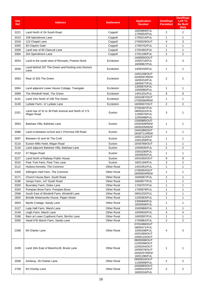| <b>Site</b><br>Ref | <b>Address</b>                                                                        | <b>Settlement</b>                        | <b>Application</b><br><b>Number</b>                                                          | <b>Dwellings</b><br><b>Permitted</b> | <b>Dwellings</b><br><b>Left To</b><br><b>Be Built</b><br>(Net) |
|--------------------|---------------------------------------------------------------------------------------|------------------------------------------|----------------------------------------------------------------------------------------------|--------------------------------------|----------------------------------------------------------------|
| 3221               | Land North of 2A South Road                                                           | Coppull                                  | 16/00869/FUL<br>17/00553/FUL                                                                 | 2                                    | 2                                                              |
| 3313               | 108 Spendmore Lane                                                                    | Coppull                                  | 17/00214/FUL                                                                                 | 1                                    | 1                                                              |
| 3318               | 122 Chapel Lane                                                                       | Coppull                                  | 17/00529/OUT                                                                                 | $\overline{4}$                       | 3                                                              |
| 3345               | 83 Clayton Gate                                                                       | Coppull                                  | 17/00742/FUL                                                                                 | $\mathbf{1}$                         | $\mathbf{1}$                                                   |
| 3359               | Land rear of 60 Clancutt Lane                                                         | Coppull                                  | 17/01091/FUL                                                                                 | $\mathbf{1}$                         | $\mathbf{1}$                                                   |
| 3364               | 254 Spendmore Lane                                                                    | Coppull                                  | 17/01199/FUL                                                                                 | $\overline{2}$                       | $\overline{2}$                                                 |
| 3024               | Land to the south west of Ricmarlo, Preston Nook                                      | Eccleston                                | 14/00550/OUT<br>15/00719/FUL<br>16/00667/FUL                                                 | 3                                    | 3                                                              |
| 3039               | Land behind 167 The Green and fronting onto Doctors<br>Lane                           | Eccleston                                | 14/00150/FUL                                                                                 | $\mathbf{1}$                         | $\mathbf{1}$                                                   |
| 3053               | Rear of 203 The Green                                                                 | Eccleston                                | 14/01248/OUT<br>15/00597/REM<br>16/00153/FUL<br>16/00477/FUL                                 | 2                                    | 2                                                              |
| 3064               | Land adjacent Lower House Cottage, Towngate                                           | Eccleston                                | 13/00675/FUL<br>15/00080/FUL                                                                 | $\mathbf{1}$                         | $\mathbf{1}$                                                   |
| 3089               | The Windmill Hotel, The Green                                                         | Eccleston                                | 14/01331/FUL                                                                                 | 9                                    | 9                                                              |
| 3141               | Land 15m North of 238 The Green                                                       | Eccleston                                | 15/01067/OUT<br>17/00266/REM                                                                 | $\mathbf{1}$                         | $\mathbf{1}$                                                   |
| 3145               | Lydiate Farm, 12 Lydiate Lane                                                         | Eccleston                                | 16/00007/OUT                                                                                 | 2                                    | $\overline{2}$                                                 |
| 2321               | Land rear of 31 to 39 Park Avenue and North of 173<br>Wigan Road                      | Euxton                                   | 07/00497/FUL<br>08/00201/FUL<br>11/00070/FUL<br>12/00498/FUL                                 | 3                                    | 1                                                              |
| 3063               | Balshaw Villa, Balshaw Lane                                                           | Euxton                                   | 13/00985/OUT<br>15/00308/REM<br>16/00326/REM                                                 | $\mathbf{1}$                         | 1                                                              |
| 3088               | Land in-between school and 1 Primrose Hill Road                                       | Euxton                                   | 14/01080/OUT<br>16/00711/REM                                                                 | $\mathbf{1}$                         | 1                                                              |
| 3097               | Between 42 and 44 The Croft                                                           | Euxton                                   | 14/01112/OUT<br>15/01259/FUL                                                                 | $\mathbf{1}$                         | $\mathbf{1}$                                                   |
| 3110               | Euxton Mills Hotel, Wigan Road                                                        | Euxton                                   | 15/00768/OUT                                                                                 | 1                                    | 1                                                              |
| 3116               | Land adjacent Balshaw Villa, Balshaw Lane                                             | Euxton                                   | 15/00635/FUL                                                                                 | 2                                    | $\boldsymbol{2}$                                               |
| 3132               | 47 Wigan Road                                                                         | Euxton                                   | 15/01036/FUL<br>16/00835/FUL                                                                 | $\mathbf{1}$                         | 1                                                              |
| 3227               | Land North of Railway Public House                                                    | Euxton                                   | 15/01092/OUT                                                                                 | 9                                    | 9                                                              |
| 3315               | Pear Tree Farm, Pear Tree Lane                                                        | Euxton                                   | 16/01184/FUL                                                                                 | 3                                    | 2                                                              |
| 3112               | Hudora Kennels, The Common                                                            | <b>Other Rural</b>                       | 14/01051/FUL                                                                                 | 1                                    | $\mathbf{1}$                                                   |
| 3326               | Adlington Hall Farm, The Common                                                       | Other Rural                              | 17/00452/OUT<br>18/00004/REM                                                                 | 1                                    | 1                                                              |
| 3171               | Church House Barn, South Road                                                         | <b>Other Rural</b>                       | 16/00067/FUL                                                                                 | 1                                    | 1                                                              |
| 3196               | Jumps Farm, 147 South Road                                                            | <b>Other Rural</b>                       | 16/00877/FUL                                                                                 | 1                                    | $\mathbf{1}$                                                   |
| 3329               | Boundary Farm, Doles Lane                                                             | <b>Other Rural</b>                       | 17/00707/FUL                                                                                 | 1                                    | 1                                                              |
| 3343               | Pompian Brow Farm, Pompian Brow                                                       | <b>Other Rural</b>                       | 17/00879/FUL                                                                                 | 1                                    | 1                                                              |
| 2568<br>2820       | South East of Windmill Farm, Windmill Lane<br>Brindle Waterworks House, Pippin Street | <b>Other Rural</b><br><b>Other Rural</b> | 09/01032/FUL<br>12/00363/FUL                                                                 | 2<br>1                               | 1<br>1                                                         |
| 3003               | Myrtle Cottage, Sandy Lane                                                            | <b>Other Rural</b>                       | 13/00940/FUL                                                                                 | 1                                    | $\mathbf{1}$                                                   |
| 3127               | Lady Hall Farm, Marsh Lane                                                            | <b>Other Rural</b>                       | 16/00006/FUL<br>15/00966/FUL                                                                 | 1                                    | 1                                                              |
| 3149               | Leigh Farm, Marsh Lane                                                                | <b>Other Rural</b>                       | 15/00833/FUL                                                                                 | 4                                    | 4                                                              |
| 3186               | Barn at Lower Copthurst Farm, Birchin Lane                                            | <b>Other Rural</b>                       | 16/00597/FUL                                                                                 | 1                                    | 1                                                              |
| 3356               | Head O'th Marsh Farm, Sandy Lane                                                      | <b>Other Rural</b>                       | 17/00861/FUL                                                                                 | 2                                    | $\overline{2}$                                                 |
| 2348               | 69 Charter Lane                                                                       | <b>Other Rural</b>                       | 07/01068/OUT<br>08/00471/FUL<br>10/00298/FUL<br>10/01069/OUT<br>14/00110/OUT                 | 4                                    | 3                                                              |
| 2439               | Land 18m East of Beechcroft, Brook Lane                                               | <b>Other Rural</b>                       | 08/00308/OUT<br>11/00298/OUT<br>12/00244/OUT<br>15/00078/OUT<br>15/00257/REM<br>16/01196/FUL | 1                                    | 1                                                              |
| 2506               | Annbray, 29 Charter Lane                                                              | <b>Other Rural</b>                       | 09/00016/OUT<br>11/00599/FUL                                                                 | 2                                    | $\overline{2}$                                                 |
| 2709               | 94 Chorley Lane                                                                       | <b>Other Rural</b>                       | 10/00993/OUT<br>14/00510/OUT<br>16/00316/FUL                                                 | 2                                    | $\overline{2}$                                                 |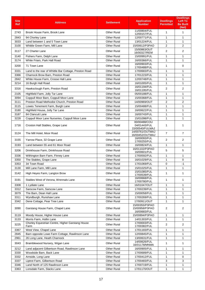| <b>Site</b><br>Ref | <b>Address</b>                                                                  | <b>Settlement</b>                        | <b>Application</b><br><b>Number</b>              | <b>Dwellings</b><br><b>Permitted</b> | <b>Dwellings</b><br><b>Left To</b><br><b>Be Built</b><br>(Net) |
|--------------------|---------------------------------------------------------------------------------|------------------------------------------|--------------------------------------------------|--------------------------------------|----------------------------------------------------------------|
| 2743               | Brook House Farm, Brook Lane                                                    | <b>Other Rural</b>                       | 11/00804/FUL<br>12/00157/FUL                     | 1                                    | 1                                                              |
| 2843               | 94 Chorley Lane                                                                 | <b>Other Rural</b>                       | 12/00771/FUL                                     | $\mathbf{1}$                         | 1                                                              |
| 3033               | Land between 1 and 5 Town Lane                                                  | <b>Other Rural</b>                       | 13/01224/FUL                                     | $\mathbf{1}$                         | 1                                                              |
| 3100               | Whittle Green Farm, Mill Lane                                                   | <b>Other Rural</b>                       | 15/00612/P3PAO                                   | 2                                    | 2                                                              |
| 3117               | 27 Charter Lane                                                                 | Other Rural                              | 15/00863/OUT<br>16/00327/REM                     | 2                                    | $\overline{2}$                                                 |
| 3140               | Fishers Farm, Delph Lane                                                        | <b>Other Rural</b>                       | 15/00991/FUL                                     | 1                                    | 1                                                              |
| 3174               | White Friars, Park Hall Road                                                    | Other Rural                              | 16/00366/FUL                                     | 1                                    | $\mathbf{1}$                                                   |
| 3200               | 71 Town Lane                                                                    | Other Rural                              | 16/00903/FUL<br>17/00488/FUL                     | 1                                    | 0                                                              |
| 3331               | Land to the rear of Whittle Bar Cottage, Preston Road                           | Other Rural                              | 17/00683/FUL                                     | 1                                    | 1                                                              |
| 3366               | Charnock Brow Barn, Preston Road                                                | <b>Other Rural</b>                       | 17/01223/FUL                                     | $\mathbf{1}$                         | 1                                                              |
| 2842               | White House Farm, Crosse Hall Lane                                              | <b>Other Rural</b>                       | 12/00748/FUL                                     | $\mathbf{1}$                         | $\mathbf{1}$                                                   |
| 3214               | 16 Burgh Hall Road                                                              | <b>Other Rural</b>                       | 16/01005/FUL<br>16/01194/FUL                     | $\mathbf{1}$                         | $\mathbf{1}$                                                   |
| 3316               | Hawksclough Farm, Preston Road                                                  | <b>Other Rural</b>                       | 16/01195/FUL                                     | 2                                    | $\overline{2}$                                                 |
| 2105               | Highfield Farm, Jolly Tar Lane                                                  | <b>Other Rural</b>                       | 05/00188/FUL                                     | 1                                    | $\mathbf{1}$                                                   |
| 3094               | Coppull Moor Barn, Coppull Moor Lane                                            | <b>Other Rural</b>                       | 15/00368/FUL                                     | $\mathbf{1}$                         | 1                                                              |
| 3111               | Preston Road Methodist Church, Preston Road                                     | <b>Other Rural</b>                       | 14/00969/OUT                                     | 2                                    | $\overline{2}$                                                 |
| 3115               | Lowes Tenement Farm, Burgh Lane                                                 | <b>Other Rural</b>                       | 15/00488/FUL                                     | $\mathbf{1}$                         | 1                                                              |
| 3180               | Highfield House, Jolly Tar Lane                                                 | <b>Other Rural</b>                       | 16/00622/FUL                                     | $\mathbf{1}$                         | 1                                                              |
| 3187               | 84 Clancutt Lane                                                                | <b>Other Rural</b>                       | 16/00743/FUL                                     | $\mathbf{1}$                         | $\mathbf{1}$                                                   |
| 3228               | Coppull Moor Lane Nurseries, Coppull Moor Lane                                  | <b>Other Rural</b>                       | 15/01098/FUL<br>00/00488/COU                     | $\mathbf{1}$                         | $\mathbf{1}$                                                   |
| 1716               | Croston Hall Stables, Grape Lane                                                | <b>Other Rural</b>                       | 04/01443/FUL<br>15/00540/FULMAJ                  | 1                                    | 1                                                              |
| 3124               | The Mill Hotel, Moor Road                                                       | Other Rural                              | 14/00761/OUTMAJ<br>16/00452/OUTMAJ               | 7                                    | $\overline{7}$                                                 |
| 3155               | Yarrow Place, 32 Grape Lane                                                     | <b>Other Rural</b>                       | 16/00093/FUL<br>17/00255/FUL                     | 2                                    | $\overline{2}$                                                 |
| 3193               | Land between 55 and 61 Moor Road                                                | <b>Other Rural</b>                       | 16/00824/FUL                                     | 1                                    | 1                                                              |
| 3206               | Drinkhouse Farm, Drinkhouse Road                                                | <b>Other Rural</b>                       | 16/01102/P3PAO<br>16/00601/FUL                   | 5                                    | 5                                                              |
| 3336               | Withington Barn Farm, Finney Lane                                               | <b>Other Rural</b>                       | 17/00592/FUL                                     | 1                                    | 1                                                              |
| 3350               | The Stables, Grape Lane                                                         | <b>Other Rural</b>                       | 16/01029/FUL                                     | $\mathbf{1}$                         | $\mathbf 0$                                                    |
| 3353               | 34 Town Road                                                                    | <b>Other Rural</b>                       | 17/01069/FUL                                     | 0                                    | $-1$                                                           |
| 3130               | Mill Lane Farm, Mill Lane                                                       | <b>Other Rural</b>                       | 15/01025/FUL                                     | $\mathbf{1}$                         | $\mathbf{1}$                                                   |
| 3142               | High Heyes Farm, Langton Brow                                                   | Other Rural                              | 15/01085/FUL<br>17/00539/FUL                     | 1                                    | 1                                                              |
| 3191               | Stables West of Verona, Wrennals Lane                                           | <b>Other Rural</b>                       | 16/00668/FUL<br>17/00780/FUL                     | 1                                    | 1                                                              |
| 3308               | 1 Lydiate Lane                                                                  | <b>Other Rural</b>                       | 16/01047/OUT                                     | 1                                    | $\mathbf{1}$                                                   |
| 3312               | Sarscow Farm, Sarscow Lane                                                      | <b>Other Rural</b>                       | 17/00239/FUL                                     | 1                                    | 1                                                              |
| 3079               | The Barn, Dean Hall Lane                                                        | <b>Other Rural</b>                       | 15/00058/FUL                                     | 1                                    | 1                                                              |
| 3311               | Wyndburgh, Runshaw Lane                                                         | <b>Other Rural</b>                       | 17/00269/FUL                                     | 1                                    | 1                                                              |
| 3342<br>3090       | Dene Cottage, Pear Tree Lane<br>Garstang House Farm, Chapel Lane                | <b>Other Rural</b><br><b>Other Rural</b> | 17/00911/OUT<br>15/00355/P3PAO<br>15/00958/P3PAO | 1<br>2                               | $\mathbf{1}$<br>$\overline{c}$                                 |
|                    |                                                                                 |                                          | 16/00683/FUL                                     |                                      |                                                                |
| 3119               | Moody House, Higher House Lane                                                  | <b>Other Rural</b>                       | 15/00894/P3PAO                                   | 1                                    | 1                                                              |
| 3133<br>3225       | Morris Farm, Hollin Lane<br>Chorley Equestrian Centre, Higher Garstang House    | <b>Other Rural</b><br><b>Other Rural</b> | 14/01303/FUL<br>17/00003/FUL                     | $\mathbf{1}$<br>2                    | $\mathbf{1}$<br>$\overline{2}$                                 |
|                    | Farm                                                                            |                                          | 17/00382/FUL                                     |                                      |                                                                |
| 3367               | West View, Chapel Lane                                                          | <b>Other Rural</b>                       | 17/01183/FUL                                     | 1                                    | 1                                                              |
| 2845<br>2961       | Barn opposite Lowe Farm Cottage, Rawlinson Lane<br>26 Long Lane, Heath Charnock | <b>Other Rural</b><br><b>Other Rural</b> | 12/00845/FUL<br>13/00631/FUL                     | $\mathbf{1}$<br>$\mathbf{1}$         | 1<br>$\mathbf{1}$                                              |
| 3043               | Bramblewood Nursery, Wigan Lane                                                 | <b>Other Rural</b>                       | 14/00626/FUL<br>16/01178/MNMA                    | 1                                    | 1                                                              |
| 3212               | Land adjacent Gilbertson Road, Rawlinson Lane                                   | <b>Other Rural</b>                       | 16/00905/FUL                                     | 1                                    | $\mathbf{1}$                                                   |
| 3330               | Woodside Barn, Back Lane                                                        | <b>Other Rural</b>                       | 17/00689/FUL                                     | $\mathbf{1}$                         | $\mathbf{1}$                                                   |
| 3332               | Arnside, Long Lane                                                              | <b>Other Rural</b>                       | 17/00412/FUL                                     | 1                                    | 0                                                              |
| 3337               | Liptrot Farm, Gilbertson Road                                                   | <b>Other Rural</b>                       | 17/00483/FUL                                     | 3                                    | 3                                                              |
| 3346               | Land North of 125 Rawlinson Lane                                                | <b>Other Rural</b>                       | 17/00719/FUL                                     | 1                                    | 1                                                              |
| 3363               | Lonsdale Farm, Slacks Lane                                                      | <b>Other Rural</b>                       | 17/01170/OUT                                     | $\mathbf{1}$                         | $\mathbf{1}$                                                   |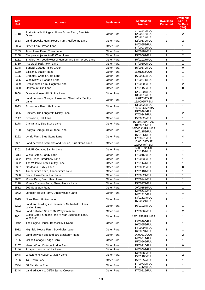| <b>Site</b><br><b>Ref</b> | <b>Address</b>                                                                 | <b>Settlement</b>  | <b>Application</b><br><b>Number</b>          | <b>Dwellings</b><br><b>Permitted</b> | <b>Dwellings</b><br><b>Left To</b><br><b>Be Built</b><br>(Net) |
|---------------------------|--------------------------------------------------------------------------------|--------------------|----------------------------------------------|--------------------------------------|----------------------------------------------------------------|
| 2418                      | Agricultural buildings at Howe Brook Farm, Bannister<br>Green                  | <b>Other Rural</b> | 07/01340/FUL<br>12/00915/FUL<br>12/00917/FUL | $\overline{2}$                       | 2                                                              |
| 2833                      | Land opposite Hurst House Farm, Halfpenny Lane                                 | <b>Other Rural</b> | 12/00539/FUL                                 | 2                                    | $\overline{2}$                                                 |
| 3034                      | Green Farm, Wood Lane                                                          | <b>Other Rural</b> | 14/00952/FUL<br>17/00032/FUL                 | 3                                    | 1                                                              |
| 3103                      | Town Lane Farm, Town Lane                                                      | <b>Other Rural</b> | 14/00982/FUL                                 | 1                                    | 1                                                              |
| 3108                      | Car park adjacent to 48 Wood Lane                                              | <b>Other Rural</b> | 15/00661/FUL                                 | 2                                    | $\overline{2}$                                                 |
| 3131                      | Stables 40m south west of Horsemans Barn, Wood Lane                            | <b>Other Rural</b> | 15/01027/FUL                                 | 1                                    | 1                                                              |
| 3310                      | Pyebrook Hall, Town Lane                                                       | <b>Other Rural</b> | 17/00300/FUL                                 | 1                                    | 1                                                              |
| 3148                      | Sandall Cottage, Riley Green                                                   | <b>Other Rural</b> | 15/00570/FUL                                 | 1                                    | 0                                                              |
| 3150                      | Ellisland, Station Road                                                        | <b>Other Rural</b> | 15/01232/OUT                                 | 1                                    | 1                                                              |
| 3195                      | Braemar, Cripple Gate Lane                                                     | <b>Other Rural</b> | 16/00860/FUL                                 | 1                                    | 1                                                              |
| 3325                      | Woodview, 63 Chapel Lane                                                       | <b>Other Rural</b> | 17/00571/FUL                                 | 1                                    | 1                                                              |
| 3339                      | Brookhouse Farm, Hoghton Lane                                                  | <b>Other Rural</b> | 17/00808/FUL                                 | 2                                    | 2                                                              |
| 3360                      | Oakmount, Gib Lane                                                             | <b>Other Rural</b> | 17/01156/FUL                                 | 1                                    | $\mathbf 0$                                                    |
| 2868                      | Grange House Mill, Smithy Lane                                                 | <b>Other Rural</b> | 12/01207/FUL<br>13/00917/FUL                 | 1                                    | 1                                                              |
| 2917                      | Land between Grange House and Glen Haffy, Smithy<br>Lane                       | <b>Other Rural</b> | 12/01206/OUT<br>15/00025/REM                 | 1                                    | 1                                                              |
| 2993                      | Brookmere Farm, Hall Lane                                                      | <b>Other Rural</b> | 13/00920/FUL<br>16/00256/MNMA                | $\mathbf{1}$                         | $\mathbf{1}$                                                   |
| 3095                      | Baxters, The Longcroft, Ridley Lane                                            | <b>Other Rural</b> | 15/00384/FUL<br>17/00342/FUL                 | $\overline{2}$                       | $\overline{2}$                                                 |
| 3147                      | Brookside, Hall Lane                                                           | <b>Other Rural</b> | 15/00322/FUL                                 | $\mathbf{1}$                         | $\mathbf{1}$                                                   |
| 3178                      | Clanranald, Blue Stone Lane                                                    | <b>Other Rural</b> | 16/00415/P3PAO<br>18/00014/FUL               | 1                                    | 1                                                              |
| 3190                      | Rigby's Garage, Blue Stone Lane                                                | <b>Other Rural</b> | 16/00591/FULMAJ<br>16/01158/FUL              | 4                                    | 4                                                              |
| 3222                      | Lynric Farm, Blue Stone Lane                                                   | <b>Other Rural</b> | 16/01061/FUL<br>17/00770/FUL                 | 4                                    | 4                                                              |
| 3301                      | Land between Brambles and Beulah, Blue Stone Lane                              | <b>Other Rural</b> | 17/00168/OUT<br>17/00675/REM                 | 1                                    | 1                                                              |
| 3302                      | Salt Pit Cottage, Salt Pit Lane                                                | <b>Other Rural</b> | 17/00159/OUT<br>17/01154/FUL                 | $\mathbf{1}$                         | 1                                                              |
| 3314                      | White Gates, Sandy Lane                                                        | <b>Other Rural</b> | 17/00165/FUL                                 | 1                                    | 1                                                              |
| 3322                      | Twin Trees, Bradshaw Lane                                                      | <b>Other Rural</b> | 17/00633/FUL                                 | $\mathbf{1}$                         | 1                                                              |
| 3352                      | The Willows Farm, Smithy Lane                                                  | <b>Other Rural</b> | 17/01144/FUL                                 | 1                                    | 1                                                              |
| 3357                      | Gardeana, Ridley Lane                                                          | <b>Other Rural</b> | 17/00826/FUL                                 | $\mathbf{1}$                         | $\mathbf 0$                                                    |
| 3361                      | Tannersmith Farm, Tannersmith Lane                                             | Other Rural        | 17/01184/FUL                                 | 1                                    | 1                                                              |
| 3368                      | Back House Farm. Hall Lane                                                     | <b>Other Rural</b> | 17/00621/FUL                                 | $\mathbf{1}$                         | 1                                                              |
| 2852                      | Morris Barn, Dean Head Lane                                                    | <b>Other Rural</b> | 12/00949/FUL                                 | 1                                    | 1                                                              |
| 3128                      | Moses Cockers Farm, Sheep House Lane                                           | <b>Other Rural</b> | 15/00972/FUL                                 | 1                                    | 1                                                              |
| 2512                      | 267 Southport Road                                                             | <b>Other Rural</b> | 09/00151/FUL<br>14/00442/FUL                 | 1                                    | 1                                                              |
| 3032                      | Johnson House Farm, Ulnes Walton Lane                                          | <b>Other Rural</b> | 14/01315/FUL<br>13/01124/FUL                 | 2                                    | 1                                                              |
| 3075                      | Nook Farm, Holker Lane<br>Land and buildings to the rear of Netherfield, Ulnes | <b>Other Rural</b> | 15/00921/FUL                                 | 1                                    | $\mathbf{1}$                                                   |
| 3202                      | <b>Walton Lane</b>                                                             | <b>Other Rural</b> | 16/01024/FUL                                 | 1                                    | 1                                                              |
| 3324                      | Land Between 35 and 37 Wray Crescent                                           | <b>Other Rural</b> | 17/00569/FUL                                 | 2                                    | $\overline{2}$                                                 |
| 2901                      | Close Gate Farm and land to rear Buckholes Lane,<br>Wheelton                   | <b>Other Rural</b> | 12/01158/FULMAJ                              | 1                                    | 1                                                              |
| 2942                      | The Engine House, Brinscall Mill Road                                          | Other Rural        | 13/00390/FUL<br>16/00559/FUL                 | 1                                    | 1                                                              |
| 3012                      | Highfield House Farm, Buckholes Lane                                           | <b>Other Rural</b> | 14/00294/FUL<br>16/00394/FUL                 | 1                                    | $\mathbf{1}$                                                   |
| 3073                      | Land between 386 and 392 Blackburn Road                                        | <b>Other Rural</b> | 14/00601/OUT                                 | 2                                    | 2                                                              |
| 3106                      | Calico Cottage, Lodge Bank                                                     | <b>Other Rural</b> | 14/00419/FUL<br>15/00565/FUL                 | 1                                    | $\mathbf{1}$                                                   |
| 3107                      | Heron Wood Cottage, Lodge Bank                                                 | <b>Other Rural</b> | 15/00710/FUL                                 | 1                                    | 0                                                              |
| 3146                      | Prospect House, Whins Lane                                                     | <b>Other Rural</b> | 14/00603/FUL                                 | 1                                    | 1                                                              |
| 3048                      | Waterstone House, 1A Dark Lane                                                 | <b>Other Rural</b> | 14/00966/FUL<br>15/01185/FUL                 | 2                                    | $\overline{2}$                                                 |
| 3166                      | 145 Town Lane                                                                  | <b>Other Rural</b> | 15/01057/FUL                                 | 1                                    | $\mathbf{1}$                                                   |
| 3334                      | 68 Blackburn Road                                                              | <b>Other Rural</b> | 17/00739/FUL<br>17/01124/FUL                 | $\mathbf{1}$                         | $\mathbf{1}$                                                   |
| 3344                      | Land adjacent to 26/28 Spring Crescent                                         | Other Rural        | 17/00815/FUL                                 | $\mathbf{1}$                         | $\mathbf{1}$                                                   |